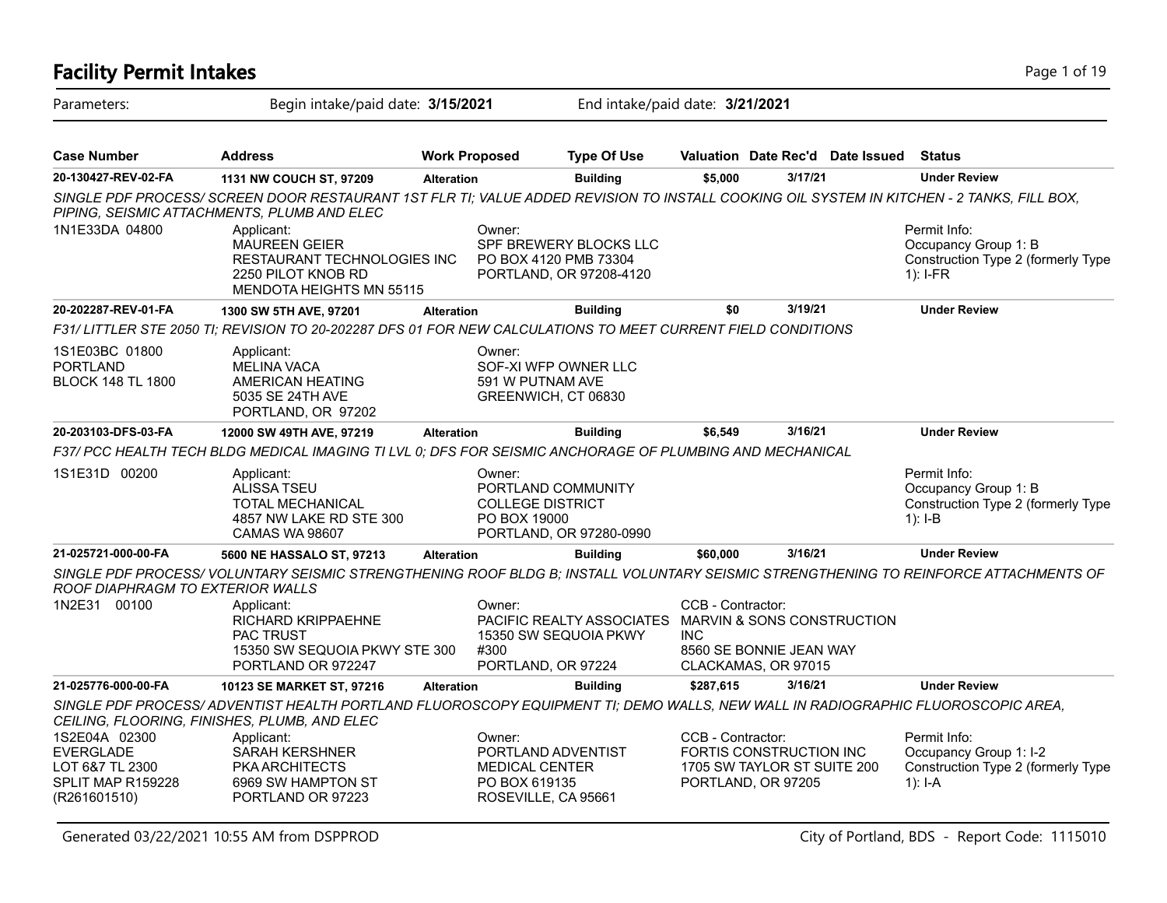### **Facility Permit Intakes** Page 1 of 19 Parameters: Begin intake/paid date: **3/15/2021** End intake/paid date: **3/21/2021 Case Number Address Work Proposed Type Of Use Valuation Date Rec'd Date Issued Status 20-130427-REV-02-FA 1131 NW COUCH ST, 97209 Alteration Building \$5,000 3/17/21 Under Review** *SINGLE PDF PROCESS/ SCREEN DOOR RESTAURANT 1ST FLR TI; VALUE ADDED REVISION TO INSTALL COOKING OIL SYSTEM IN KITCHEN - 2 TANKS, FILL BOX, PIPING, SEISMIC ATTACHMENTS, PLUMB AND ELEC* Permit Info: Occupancy Group 1: B Construction Type 2 (formerly Type 1): I-FR Owner: SPF BREWERY BLOCKS LLC PO BOX 4120 PMB 73304 PORTLAND, OR 97208-4120 Applicant: MAUREEN GEIER RESTAURANT TECHNOLOGIES INC 2250 PILOT KNOB RD MENDOTA HEIGHTS MN 55115 1N1E33DA 04800 **20-202287-REV-01-FA 1300 SW 5TH AVE, 97201 Alteration Building \$0 3/19/21 Under Review** *F31/ LITTLER STE 2050 TI; REVISION TO 20-202287 DFS 01 FOR NEW CALCULATIONS TO MEET CURRENT FIELD CONDITIONS* Owner: SOF-XI WFP OWNER LLC 591 W PUTNAM AVE GREENWICH, CT 06830 Applicant: MELINA VACA AMERICAN HEATING 5035 SE 24TH AVE PORTLAND, OR 97202 1S1E03BC 01800 PORTLAND BLOCK 148 TL 1800 **20-203103-DFS-03-FA 12000 SW 49TH AVE, 97219 Alteration Building \$6,549 3/16/21 Under Review** *F37/ PCC HEALTH TECH BLDG MEDICAL IMAGING TI LVL 0; DFS FOR SEISMIC ANCHORAGE OF PLUMBING AND MECHANICAL* Permit Info: Occupancy Group 1: B Construction Type 2 (formerly Type 1): I-B Owner: PORTLAND COMMUNITY COLLEGE DISTRICT PO BOX 19000 PORTLAND, OR 97280-0990 Applicant: ALISSA TSEU TOTAL MECHANICAL 4857 NW LAKE RD STE 300 CAMAS WA 98607 1S1E31D 00200 **21-025721-000-00-FA 5600 NE HASSALO ST, 97213 Alteration Building \$60,000 3/16/21 Under Review** *SINGLE PDF PROCESS/ VOLUNTARY SEISMIC STRENGTHENING ROOF BLDG B; INSTALL VOLUNTARY SEISMIC STRENGTHENING TO REINFORCE ATTACHMENTS OF ROOF DIAPHRAGM TO EXTERIOR WALLS* CCB - Contractor: PACIFIC REALTY ASSOCIATES MARVIN & SONS CONSTRUCTION INC 8560 SE BONNIE JEAN WAY CLACKAMAS, OR 97015 Owner: 15350 SW SEQUOIA PKWY #300 PORTLAND, OR 97224 Applicant: RICHARD KRIPPAEHNE PAC TRUST 15350 SW SEQUOIA PKWY STE 300 PORTLAND OR 972247 1N2E31 00100 **21-025776-000-00-FA 10123 SE MARKET ST, 97216 Alteration Building \$287,615 3/16/21 Under Review** *SINGLE PDF PROCESS/ ADVENTIST HEALTH PORTLAND FLUOROSCOPY EQUIPMENT TI; DEMO WALLS, NEW WALL IN RADIOGRAPHIC FLUOROSCOPIC AREA, CEILING, FLOORING, FINISHES, PLUMB, AND ELEC* Permit Info: Occupancy Group 1: I-2 Construction Type 2 (formerly Type 1): I-A CCB - Contractor: FORTIS CONSTRUCTION INC 1705 SW TAYLOR ST SUITE 200 PORTLAND, OR 97205 Owner: PORTLAND ADVENTIST MEDICAL CENTER PO BOX 619135 ROSEVILLE, CA 95661 Applicant: SARAH KERSHNER PKA ARCHITECTS 6969 SW HAMPTON ST PORTLAND OR 97223 1S2E04A 02300 EVERGLADE LOT 6&7 TL 2300 SPLIT MAP R159228 (R261601510)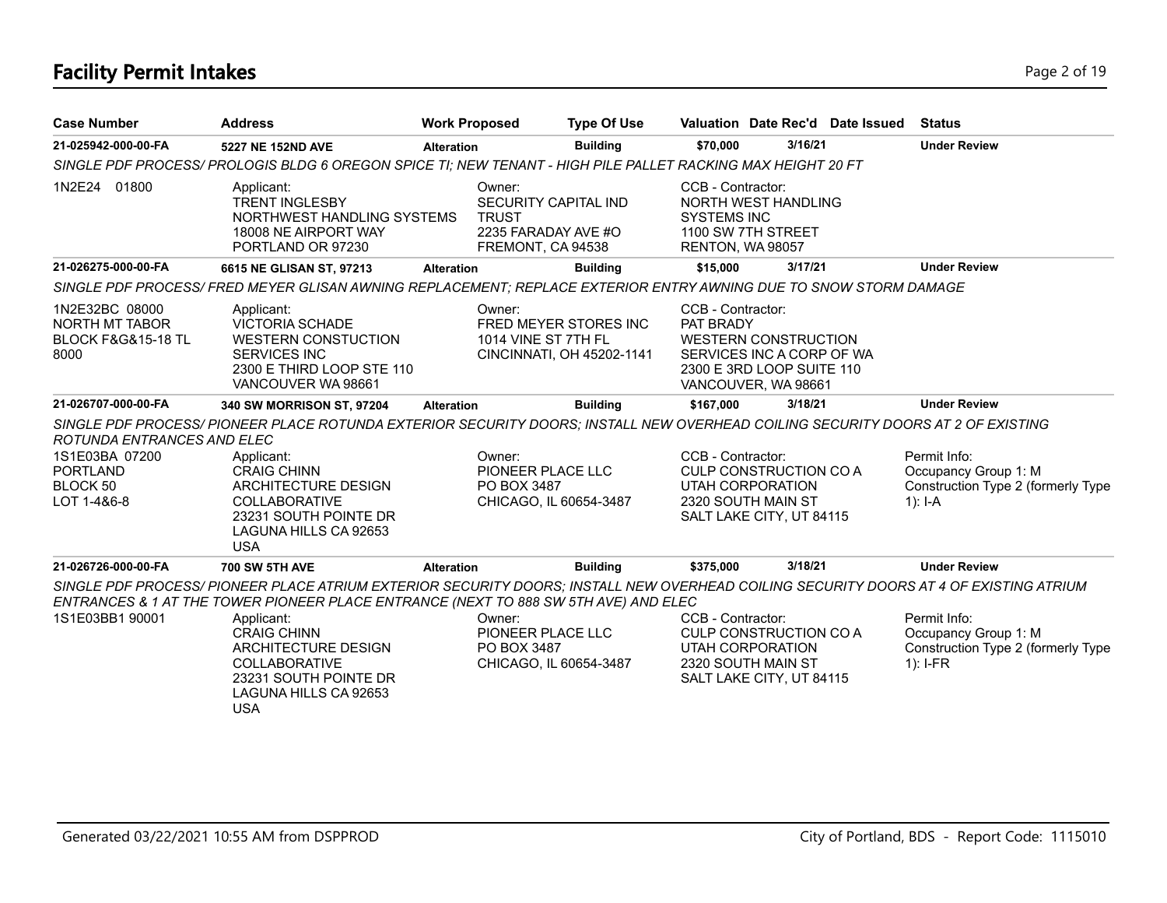# **Facility Permit Intakes** Page 2 of 19

| <b>Case Number</b>                                                                         | <b>Address</b>                                                                                                                                                                                                                                                                     | <b>Work Proposed</b>   | <b>Type Of Use</b>                                                        |                                                             |                                                                                                              | Valuation Date Rec'd Date Issued | <b>Status</b>                                                                            |
|--------------------------------------------------------------------------------------------|------------------------------------------------------------------------------------------------------------------------------------------------------------------------------------------------------------------------------------------------------------------------------------|------------------------|---------------------------------------------------------------------------|-------------------------------------------------------------|--------------------------------------------------------------------------------------------------------------|----------------------------------|------------------------------------------------------------------------------------------|
| 21-025942-000-00-FA                                                                        | 5227 NE 152ND AVE                                                                                                                                                                                                                                                                  | <b>Alteration</b>      | <b>Building</b>                                                           | \$70,000                                                    | 3/16/21                                                                                                      |                                  | <b>Under Review</b>                                                                      |
|                                                                                            | SINGLE PDF PROCESS/PROLOGIS BLDG 6 OREGON SPICE TI; NEW TENANT - HIGH PILE PALLET RACKING MAX HEIGHT 20 FT                                                                                                                                                                         |                        |                                                                           |                                                             |                                                                                                              |                                  |                                                                                          |
| 1N2E24 01800                                                                               | Applicant:<br><b>TRENT INGLESBY</b><br>NORTHWEST HANDLING SYSTEMS<br>18008 NE AIRPORT WAY<br>PORTLAND OR 97230                                                                                                                                                                     | Owner:<br><b>TRUST</b> | SECURITY CAPITAL IND<br>2235 FARADAY AVE #O<br>FREMONT, CA 94538          | CCB - Contractor:<br><b>SYSTEMS INC</b><br>RENTON, WA 98057 | NORTH WEST HANDLING<br>1100 SW 7TH STREET                                                                    |                                  |                                                                                          |
| 21-026275-000-00-FA                                                                        | 6615 NE GLISAN ST, 97213                                                                                                                                                                                                                                                           | <b>Alteration</b>      | <b>Building</b>                                                           | \$15.000                                                    | 3/17/21                                                                                                      |                                  | <b>Under Review</b>                                                                      |
|                                                                                            | SINGLE PDF PROCESS/ FRED MEYER GLISAN AWNING REPLACEMENT; REPLACE EXTERIOR ENTRY AWNING DUE TO SNOW STORM DAMAGE                                                                                                                                                                   |                        |                                                                           |                                                             |                                                                                                              |                                  |                                                                                          |
| 1N2E32BC 08000<br><b>NORTH MT TABOR</b><br><b>BLOCK F&amp;G&amp;15-18 TL</b><br>8000       | Applicant:<br><b>VICTORIA SCHADE</b><br><b>WESTERN CONSTUCTION</b><br><b>SERVICES INC</b><br>2300 E THIRD LOOP STE 110<br>VANCOUVER WA 98661                                                                                                                                       | Owner:                 | FRED MEYER STORES INC<br>1014 VINE ST 7TH FL<br>CINCINNATI, OH 45202-1141 | CCB - Contractor:<br>PAT BRADY                              | <b>WESTERN CONSTRUCTION</b><br>SERVICES INC A CORP OF WA<br>2300 E 3RD LOOP SUITE 110<br>VANCOUVER, WA 98661 |                                  |                                                                                          |
| 21-026707-000-00-FA                                                                        | 340 SW MORRISON ST, 97204                                                                                                                                                                                                                                                          | <b>Alteration</b>      | <b>Building</b>                                                           | \$167.000                                                   | 3/18/21                                                                                                      |                                  | <b>Under Review</b>                                                                      |
| ROTUNDA ENTRANCES AND ELEC<br>1S1E03BA 07200<br><b>PORTLAND</b><br>BLOCK 50<br>LOT 1-4&6-8 | SINGLE PDF PROCESS/ PIONEER PLACE ROTUNDA EXTERIOR SECURITY DOORS; INSTALL NEW OVERHEAD COILING SECURITY DOORS AT 2 OF EXISTING<br>Applicant:<br><b>CRAIG CHINN</b><br>ARCHITECTURE DESIGN<br><b>COLLABORATIVE</b><br>23231 SOUTH POINTE DR<br>LAGUNA HILLS CA 92653<br><b>USA</b> | Owner:                 | PIONEER PLACE LLC<br>PO BOX 3487<br>CHICAGO, IL 60654-3487                | CCB - Contractor:                                           | CULP CONSTRUCTION CO A<br><b>UTAH CORPORATION</b><br>2320 SOUTH MAIN ST<br>SALT LAKE CITY, UT 84115          |                                  | Permit Info:<br>Occupancy Group 1: M<br>Construction Type 2 (formerly Type<br>$1$ : I-A  |
| 21-026726-000-00-FA                                                                        | <b>700 SW 5TH AVE</b>                                                                                                                                                                                                                                                              | <b>Alteration</b>      | <b>Building</b>                                                           | \$375.000                                                   | 3/18/21                                                                                                      |                                  | <b>Under Review</b>                                                                      |
|                                                                                            | SINGLE PDF PROCESS/ PIONEER PLACE ATRIUM EXTERIOR SECURITY DOORS; INSTALL NEW OVERHEAD COILING SECURITY DOORS AT 4 OF EXISTING ATRIUM<br>ENTRANCES & 1 AT THE TOWER PIONEER PLACE ENTRANCE (NEXT TO 888 SW 5TH AVE) AND ELEC                                                       |                        |                                                                           |                                                             |                                                                                                              |                                  |                                                                                          |
| 1S1E03BB1 90001                                                                            | Applicant:<br><b>CRAIG CHINN</b><br>ARCHITECTURE DESIGN<br><b>COLLABORATIVE</b><br>23231 SOUTH POINTE DR<br>LAGUNA HILLS CA 92653<br><b>USA</b>                                                                                                                                    | Owner:                 | PIONEER PLACE LLC<br>PO BOX 3487<br>CHICAGO, IL 60654-3487                | CCB - Contractor:                                           | CULP CONSTRUCTION CO A<br>UTAH CORPORATION<br>2320 SOUTH MAIN ST<br>SALT LAKE CITY, UT 84115                 |                                  | Permit Info:<br>Occupancy Group 1: M<br>Construction Type 2 (formerly Type<br>$1$ : I-FR |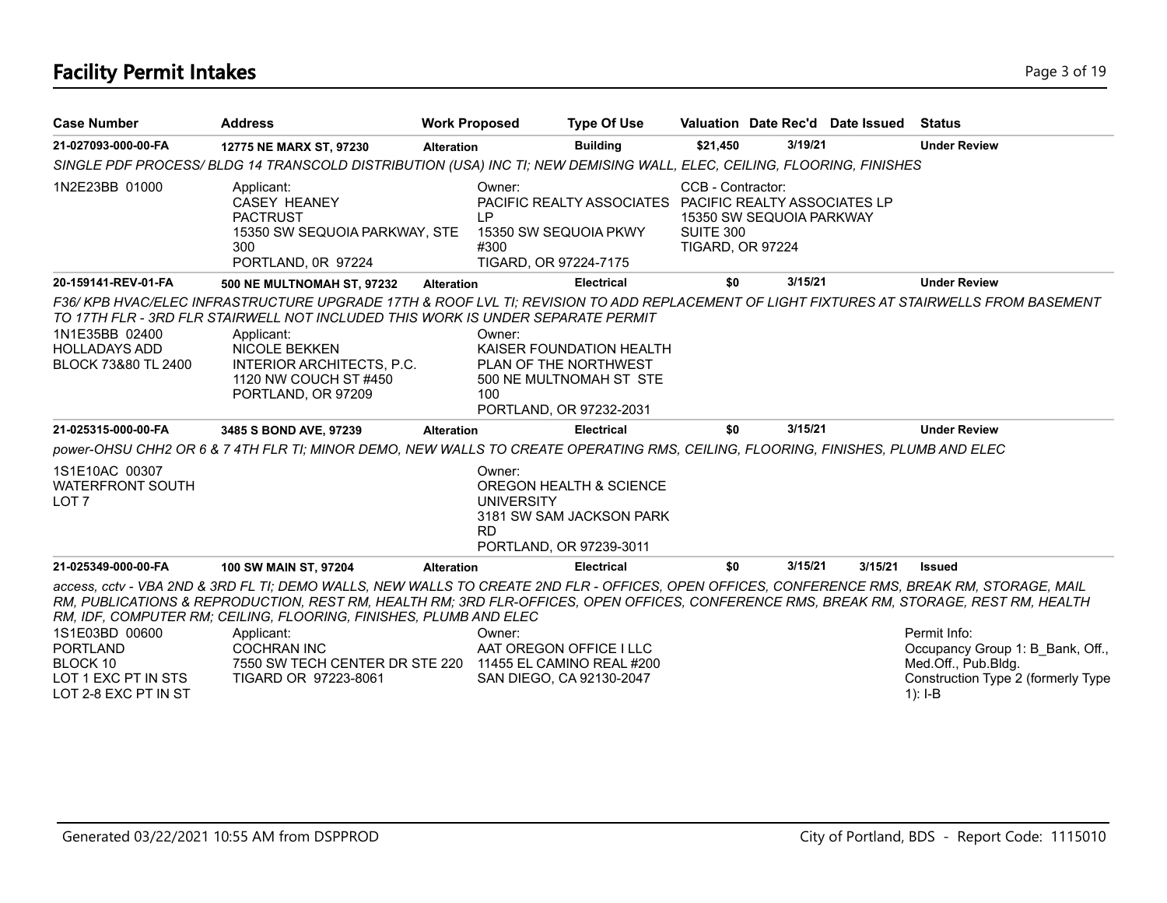# **Facility Permit Intakes** Page 3 of 19

| <b>Case Number</b>                                                                           | <b>Address</b>                                                                                                                                                                                                                                                                                                                                                                                                                                                                                            | <b>Work Proposed</b>                     | <b>Type Of Use</b>                                                                                                           |                                                           |                          | Valuation Date Rec'd Date Issued | <b>Status</b>                                                                                                              |
|----------------------------------------------------------------------------------------------|-----------------------------------------------------------------------------------------------------------------------------------------------------------------------------------------------------------------------------------------------------------------------------------------------------------------------------------------------------------------------------------------------------------------------------------------------------------------------------------------------------------|------------------------------------------|------------------------------------------------------------------------------------------------------------------------------|-----------------------------------------------------------|--------------------------|----------------------------------|----------------------------------------------------------------------------------------------------------------------------|
| 21-027093-000-00-FA                                                                          | 12775 NE MARX ST, 97230                                                                                                                                                                                                                                                                                                                                                                                                                                                                                   | <b>Alteration</b>                        | <b>Building</b>                                                                                                              | \$21,450                                                  | 3/19/21                  |                                  | <b>Under Review</b>                                                                                                        |
|                                                                                              | SINGLE PDF PROCESS/BLDG 14 TRANSCOLD DISTRIBUTION (USA) INC TI; NEW DEMISING WALL, ELEC, CEILING, FLOORING, FINISHES                                                                                                                                                                                                                                                                                                                                                                                      |                                          |                                                                                                                              |                                                           |                          |                                  |                                                                                                                            |
| 1N2E23BB 01000                                                                               | Applicant:<br><b>CASEY HEANEY</b><br><b>PACTRUST</b><br>15350 SW SEQUOIA PARKWAY, STE<br>300<br>PORTLAND, 0R 97224                                                                                                                                                                                                                                                                                                                                                                                        | Owner:<br>IP<br>#300                     | PACIFIC REALTY ASSOCIATES PACIFIC REALTY ASSOCIATES LP<br>15350 SW SEQUOIA PKWY<br>TIGARD, OR 97224-7175                     | CCB - Contractor:<br>SUITE 300<br><b>TIGARD, OR 97224</b> | 15350 SW SEQUOIA PARKWAY |                                  |                                                                                                                            |
| 20-159141-REV-01-FA                                                                          | <b>500 NE MULTNOMAH ST, 97232</b>                                                                                                                                                                                                                                                                                                                                                                                                                                                                         | <b>Alteration</b>                        | <b>Electrical</b>                                                                                                            | \$0                                                       | 3/15/21                  |                                  | <b>Under Review</b>                                                                                                        |
| 1N1E35BB 02400<br><b>HOLLADAYS ADD</b><br>BLOCK 73&80 TL 2400<br>21-025315-000-00-FA         | F36/ KPB HVAC/ELEC INFRASTRUCTURE UPGRADE 17TH & ROOF LVL TI: REVISION TO ADD REPLACEMENT OF LIGHT FIXTURES AT STAIRWELLS FROM BASEMENT<br>TO 17TH FLR - 3RD FLR STAIRWELL NOT INCLUDED THIS WORK IS UNDER SEPARATE PERMIT<br>Applicant:<br><b>NICOLE BEKKEN</b><br>INTERIOR ARCHITECTS, P.C.<br>1120 NW COUCH ST #450<br>PORTLAND, OR 97209<br>3485 S BOND AVE, 97239<br>power-OHSU CHH2 OR 6 & 7 4TH FLR TI; MINOR DEMO, NEW WALLS TO CREATE OPERATING RMS, CEILING, FLOORING, FINISHES, PLUMB AND ELEC | Owner:<br>100<br><b>Alteration</b>       | KAISER FOUNDATION HEALTH<br>PLAN OF THE NORTHWEST<br>500 NE MULTNOMAH ST STE<br>PORTLAND, OR 97232-2031<br><b>Electrical</b> | \$0                                                       | 3/15/21                  |                                  | <b>Under Review</b>                                                                                                        |
| 1S1E10AC 00307<br><b>WATERFRONT SOUTH</b><br>LOT <sub>7</sub>                                |                                                                                                                                                                                                                                                                                                                                                                                                                                                                                                           | Owner:<br><b>UNIVERSITY</b><br><b>RD</b> | OREGON HEALTH & SCIENCE<br>3181 SW SAM JACKSON PARK<br>PORTLAND, OR 97239-3011                                               |                                                           |                          |                                  |                                                                                                                            |
| 21-025349-000-00-FA                                                                          | 100 SW MAIN ST, 97204                                                                                                                                                                                                                                                                                                                                                                                                                                                                                     | <b>Alteration</b>                        | <b>Electrical</b>                                                                                                            | \$0                                                       | 3/15/21                  | 3/15/21                          | <b>Issued</b>                                                                                                              |
| 1S1E03BD 00600<br><b>PORTLAND</b><br>BLOCK 10<br>LOT 1 EXC PT IN STS<br>LOT 2-8 EXC PT IN ST | access, cctv - VBA 2ND & 3RD FL TI; DEMO WALLS, NEW WALLS TO CREATE 2ND FLR - OFFICES, OPEN OFFICES, CONFERENCE RMS, BREAK RM, STORAGE, MAIL<br>RM, PUBLICATIONS & REPRODUCTION, REST RM, HEALTH RM; 3RD FLR-OFFICES, OPEN OFFICES, CONFERENCE RMS, BREAK RM, STORAGE, REST RM, HEALTH<br>RM, IDF, COMPUTER RM; CEILING, FLOORING, FINISHES, PLUMB AND ELEC<br>Applicant:<br><b>COCHRAN INC</b><br>7550 SW TECH CENTER DR STE 220<br>TIGARD OR 97223-8061                                                 | Owner:                                   | AAT OREGON OFFICE I LLC<br>11455 EL CAMINO REAL #200<br>SAN DIEGO, CA 92130-2047                                             |                                                           |                          |                                  | Permit Info:<br>Occupancy Group 1: B Bank, Off.,<br>Med.Off., Pub.Bldg.<br>Construction Type 2 (formerly Type<br>$1$ : I-B |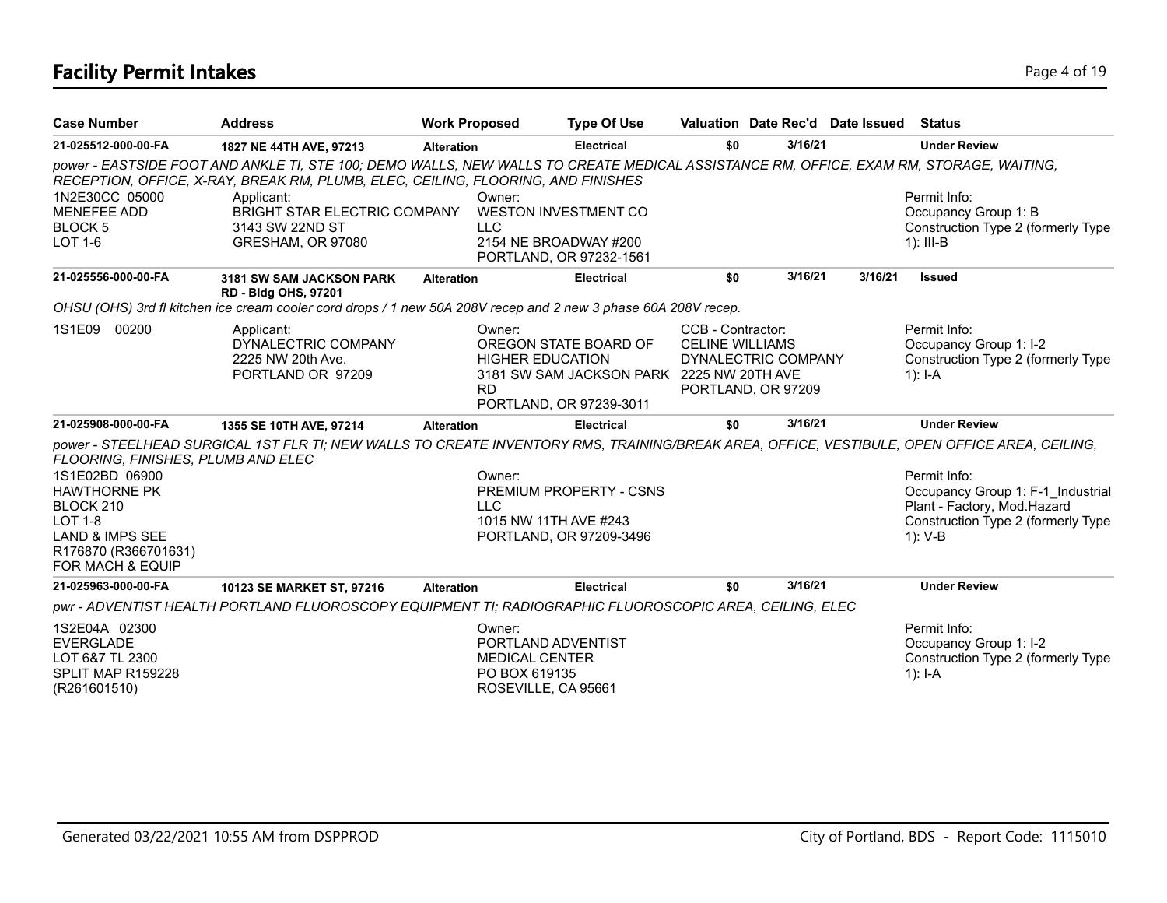# **Facility Permit Intakes** Page 4 of 19

| <b>Case Number</b>                                                                                                                             | <b>Address</b>                                                                                                                                                                                                             | <b>Work Proposed</b>                                                                          | <b>Type Of Use</b>                                                                            |                                             | Valuation Date Rec'd Date Issued          |         | Status                                                                                                                            |
|------------------------------------------------------------------------------------------------------------------------------------------------|----------------------------------------------------------------------------------------------------------------------------------------------------------------------------------------------------------------------------|-----------------------------------------------------------------------------------------------|-----------------------------------------------------------------------------------------------|---------------------------------------------|-------------------------------------------|---------|-----------------------------------------------------------------------------------------------------------------------------------|
| 21-025512-000-00-FA                                                                                                                            | 1827 NE 44TH AVE, 97213                                                                                                                                                                                                    | <b>Alteration</b>                                                                             | <b>Electrical</b>                                                                             | \$0                                         | 3/16/21                                   |         | <b>Under Review</b>                                                                                                               |
|                                                                                                                                                | power - EASTSIDE FOOT AND ANKLE TI, STE 100; DEMO WALLS, NEW WALLS TO CREATE MEDICAL ASSISTANCE RM, OFFICE, EXAM RM, STORAGE, WAITING,<br>RECEPTION, OFFICE, X-RAY, BREAK RM, PLUMB, ELEC, CEILING, FLOORING, AND FINISHES |                                                                                               |                                                                                               |                                             |                                           |         |                                                                                                                                   |
| 1N2E30CC 05000<br><b>MENEFEE ADD</b><br><b>BLOCK 5</b><br>$LOT 1-6$                                                                            | Applicant:<br>BRIGHT STAR ELECTRIC COMPANY<br>3143 SW 22ND ST<br>GRESHAM, OR 97080                                                                                                                                         | Owner:<br><b>LLC</b>                                                                          | <b>WESTON INVESTMENT CO</b><br>2154 NE BROADWAY #200<br>PORTLAND, OR 97232-1561               |                                             |                                           |         | Permit Info:<br>Occupancy Group 1: B<br>Construction Type 2 (formerly Type<br>$1$ : III-B                                         |
| 21-025556-000-00-FA                                                                                                                            | 3181 SW SAM JACKSON PARK<br><b>RD - Bldg OHS, 97201</b>                                                                                                                                                                    | <b>Alteration</b>                                                                             | <b>Electrical</b>                                                                             | \$0                                         | 3/16/21                                   | 3/16/21 | <b>Issued</b>                                                                                                                     |
|                                                                                                                                                | OHSU (OHS) 3rd fl kitchen ice cream cooler cord drops / 1 new 50A 208V recep and 2 new 3 phase 60A 208V recep.                                                                                                             |                                                                                               |                                                                                               |                                             |                                           |         |                                                                                                                                   |
| 1S1E09 00200                                                                                                                                   | Applicant:<br>DYNALECTRIC COMPANY<br>2225 NW 20th Ave.<br>PORTLAND OR 97209                                                                                                                                                | Owner:<br><b>HIGHER EDUCATION</b><br><b>RD</b>                                                | OREGON STATE BOARD OF<br>3181 SW SAM JACKSON PARK 2225 NW 20TH AVE<br>PORTLAND, OR 97239-3011 | CCB - Contractor:<br><b>CELINE WILLIAMS</b> | DYNALECTRIC COMPANY<br>PORTLAND, OR 97209 |         | Permit Info:<br>Occupancy Group 1: I-2<br>Construction Type 2 (formerly Type<br>1): I-A                                           |
| 21-025908-000-00-FA                                                                                                                            | 1355 SE 10TH AVE, 97214                                                                                                                                                                                                    | <b>Alteration</b>                                                                             | <b>Electrical</b>                                                                             | \$0                                         | 3/16/21                                   |         | <b>Under Review</b>                                                                                                               |
| FLOORING, FINISHES, PLUMB AND ELEC                                                                                                             | power - STEELHEAD SURGICAL 1ST FLR TI; NEW WALLS TO CREATE INVENTORY RMS, TRAINING/BREAK AREA, OFFICE, VESTIBULE, OPEN OFFICE AREA, CEILING,                                                                               |                                                                                               |                                                                                               |                                             |                                           |         |                                                                                                                                   |
| 1S1E02BD 06900<br><b>HAWTHORNE PK</b><br>BLOCK 210<br><b>LOT 1-8</b><br><b>LAND &amp; IMPS SEE</b><br>R176870 (R366701631)<br>FOR MACH & EQUIP |                                                                                                                                                                                                                            | Owner:<br><b>LLC</b><br>1015 NW 11TH AVE #243                                                 | <b>PREMIUM PROPERTY - CSNS</b><br>PORTLAND, OR 97209-3496                                     |                                             |                                           |         | Permit Info:<br>Occupancy Group 1: F-1 Industrial<br>Plant - Factory, Mod.Hazard<br>Construction Type 2 (formerly Type<br>1): V-B |
| 21-025963-000-00-FA                                                                                                                            | 10123 SE MARKET ST, 97216                                                                                                                                                                                                  | <b>Alteration</b>                                                                             | <b>Electrical</b>                                                                             | \$0                                         | 3/16/21                                   |         | <b>Under Review</b>                                                                                                               |
|                                                                                                                                                | pwr - ADVENTIST HEALTH PORTLAND FLUOROSCOPY EQUIPMENT TI; RADIOGRAPHIC FLUOROSCOPIC AREA, CEILING, ELEC                                                                                                                    |                                                                                               |                                                                                               |                                             |                                           |         |                                                                                                                                   |
| 1S2E04A 02300<br><b>EVERGLADE</b><br>LOT 6&7 TL 2300<br>SPLIT MAP R159228<br>(R261601510)                                                      |                                                                                                                                                                                                                            | Owner:<br>PORTLAND ADVENTIST<br><b>MEDICAL CENTER</b><br>PO BOX 619135<br>ROSEVILLE, CA 95661 |                                                                                               |                                             |                                           |         | Permit Info:<br>Occupancy Group 1: I-2<br>Construction Type 2 (formerly Type<br>1): $I - A$                                       |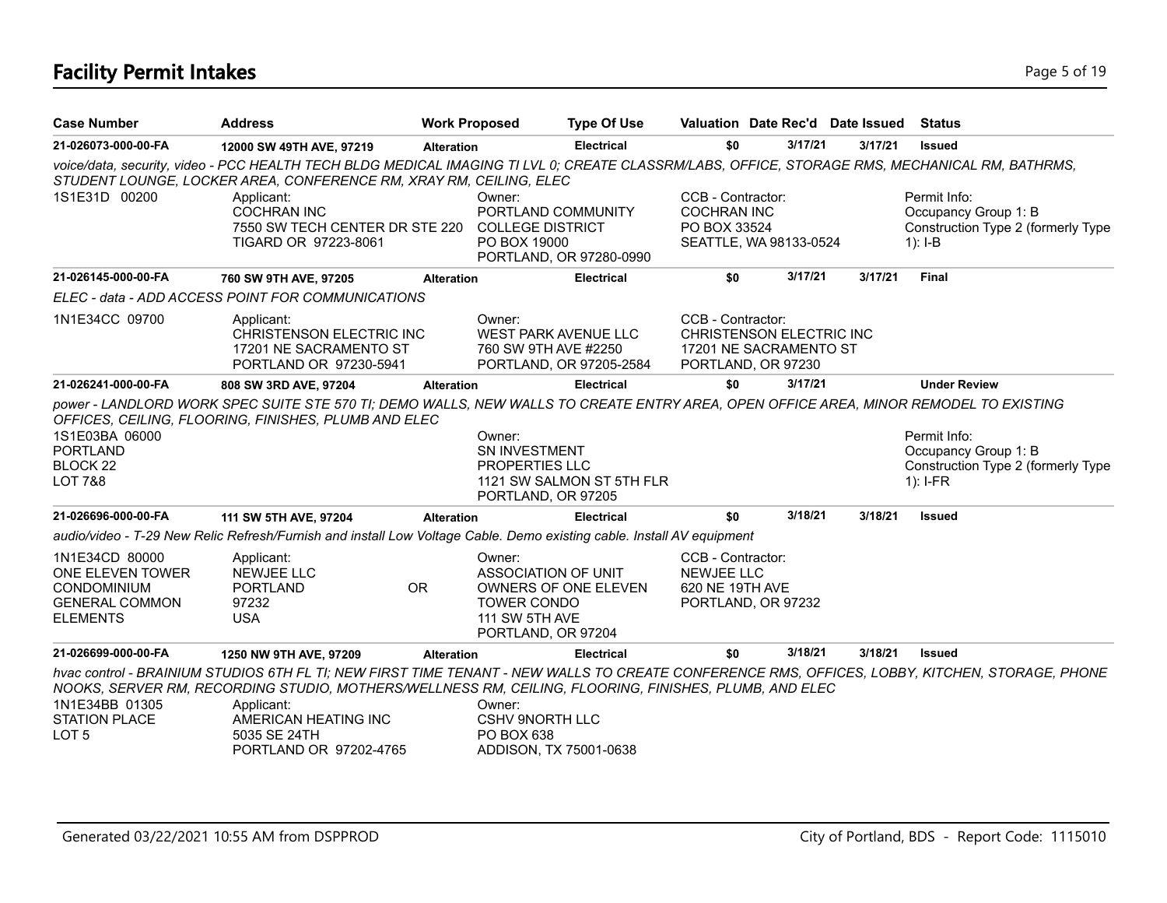# **Facility Permit Intakes** Page 5 of 19

| <b>Case Number</b>                                                                                   | <b>Address</b>                                                                                                                                                                                                                                          | <b>Work Proposed</b> |                                                                                                    | <b>Type Of Use</b>        | Valuation Date Rec'd Date Issued                                                              |         |         | Status                                                                                   |
|------------------------------------------------------------------------------------------------------|---------------------------------------------------------------------------------------------------------------------------------------------------------------------------------------------------------------------------------------------------------|----------------------|----------------------------------------------------------------------------------------------------|---------------------------|-----------------------------------------------------------------------------------------------|---------|---------|------------------------------------------------------------------------------------------|
| 21-026073-000-00-FA                                                                                  | 12000 SW 49TH AVE, 97219                                                                                                                                                                                                                                | <b>Alteration</b>    |                                                                                                    | <b>Electrical</b>         | \$0                                                                                           | 3/17/21 | 3/17/21 | <b>Issued</b>                                                                            |
|                                                                                                      | voice/data, security, video - PCC HEALTH TECH BLDG MEDICAL IMAGING TI LVL 0; CREATE CLASSRM/LABS, OFFICE, STORAGE RMS, MECHANICAL RM, BATHRMS,<br>STUDENT LOUNGE, LOCKER AREA, CONFERENCE RM, XRAY RM, CEILING, ELEC                                    |                      |                                                                                                    |                           |                                                                                               |         |         |                                                                                          |
| 1S1E31D 00200                                                                                        | Applicant:<br><b>COCHRAN INC</b><br>7550 SW TECH CENTER DR STE 220<br>TIGARD OR 97223-8061                                                                                                                                                              |                      | Owner:<br>PORTLAND COMMUNITY<br><b>COLLEGE DISTRICT</b><br>PO BOX 19000                            | PORTLAND, OR 97280-0990   | CCB - Contractor:<br><b>COCHRAN INC</b><br>PO BOX 33524<br>SEATTLE, WA 98133-0524             |         |         | Permit Info:<br>Occupancy Group 1: B<br>Construction Type 2 (formerly Type<br>$1$ : I-B  |
| 21-026145-000-00-FA                                                                                  | 760 SW 9TH AVE, 97205                                                                                                                                                                                                                                   | <b>Alteration</b>    |                                                                                                    | <b>Electrical</b>         | \$0                                                                                           | 3/17/21 | 3/17/21 | <b>Final</b>                                                                             |
|                                                                                                      | ELEC - data - ADD ACCESS POINT FOR COMMUNICATIONS                                                                                                                                                                                                       |                      |                                                                                                    |                           |                                                                                               |         |         |                                                                                          |
| 1N1E34CC 09700                                                                                       | Applicant:<br><b>CHRISTENSON ELECTRIC INC</b><br>17201 NE SACRAMENTO ST<br>PORTLAND OR 97230-5941                                                                                                                                                       |                      | Owner:<br><b>WEST PARK AVENUE LLC</b><br>760 SW 9TH AVE #2250                                      | PORTLAND, OR 97205-2584   | CCB - Contractor:<br>CHRISTENSON ELECTRIC INC<br>17201 NE SACRAMENTO ST<br>PORTLAND, OR 97230 |         |         |                                                                                          |
| 21-026241-000-00-FA                                                                                  | 808 SW 3RD AVE, 97204                                                                                                                                                                                                                                   | <b>Alteration</b>    |                                                                                                    | <b>Electrical</b>         | \$0                                                                                           | 3/17/21 |         | <b>Under Review</b>                                                                      |
| 1S1E03BA 06000<br><b>PORTLAND</b><br>BLOCK <sub>22</sub><br><b>LOT 7&amp;8</b>                       | power - LANDLORD WORK SPEC SUITE STE 570 TI; DEMO WALLS, NEW WALLS TO CREATE ENTRY AREA, OPEN OFFICE AREA, MINOR REMODEL TO EXISTING<br>OFFICES, CEILING, FLOORING, FINISHES, PLUMB AND ELEC                                                            |                      | Owner:<br><b>SN INVESTMENT</b><br><b>PROPERTIES LLC</b><br>PORTLAND, OR 97205                      | 1121 SW SALMON ST 5TH FLR |                                                                                               |         |         | Permit Info:<br>Occupancy Group 1: B<br>Construction Type 2 (formerly Type<br>$1$ : I-FR |
| 21-026696-000-00-FA                                                                                  | 111 SW 5TH AVE, 97204                                                                                                                                                                                                                                   | <b>Alteration</b>    |                                                                                                    | <b>Electrical</b>         | \$0                                                                                           | 3/18/21 | 3/18/21 | <b>Issued</b>                                                                            |
|                                                                                                      | audio/video - T-29 New Relic Refresh/Furnish and install Low Voltage Cable. Demo existing cable. Install AV equipment                                                                                                                                   |                      |                                                                                                    |                           |                                                                                               |         |         |                                                                                          |
| 1N1E34CD 80000<br>ONE ELEVEN TOWER<br><b>CONDOMINIUM</b><br><b>GENERAL COMMON</b><br><b>ELEMENTS</b> | Applicant:<br><b>NEWJEE LLC</b><br><b>PORTLAND</b><br>97232<br><b>USA</b>                                                                                                                                                                               | OR.                  | Owner:<br><b>ASSOCIATION OF UNIT</b><br>TOWER CONDO<br><b>111 SW 5TH AVE</b><br>PORTLAND, OR 97204 | OWNERS OF ONE ELEVEN      | CCB - Contractor:<br><b>NEWJEE LLC</b><br>620 NE 19TH AVE<br>PORTLAND, OR 97232               |         |         |                                                                                          |
| 21-026699-000-00-FA                                                                                  | 1250 NW 9TH AVE, 97209                                                                                                                                                                                                                                  | <b>Alteration</b>    |                                                                                                    | <b>Electrical</b>         | \$0                                                                                           | 3/18/21 | 3/18/21 | <b>Issued</b>                                                                            |
|                                                                                                      | hvac control - BRAINIUM STUDIOS 6TH FL TI; NEW FIRST TIME TENANT - NEW WALLS TO CREATE CONFERENCE RMS, OFFICES, LOBBY, KITCHEN, STORAGE, PHONE<br>NOOKS, SERVER RM, RECORDING STUDIO, MOTHERS/WELLNESS RM, CEILING, FLOORING, FINISHES, PLUMB, AND ELEC |                      |                                                                                                    |                           |                                                                                               |         |         |                                                                                          |
| 1N1E34BB 01305<br><b>STATION PLACE</b><br>LOT <sub>5</sub>                                           | Applicant:<br>AMERICAN HEATING INC<br>5035 SE 24TH<br>PORTLAND OR 97202-4765                                                                                                                                                                            |                      | Owner:<br><b>CSHV 9NORTH LLC</b><br><b>PO BOX 638</b><br>ADDISON, TX 75001-0638                    |                           |                                                                                               |         |         |                                                                                          |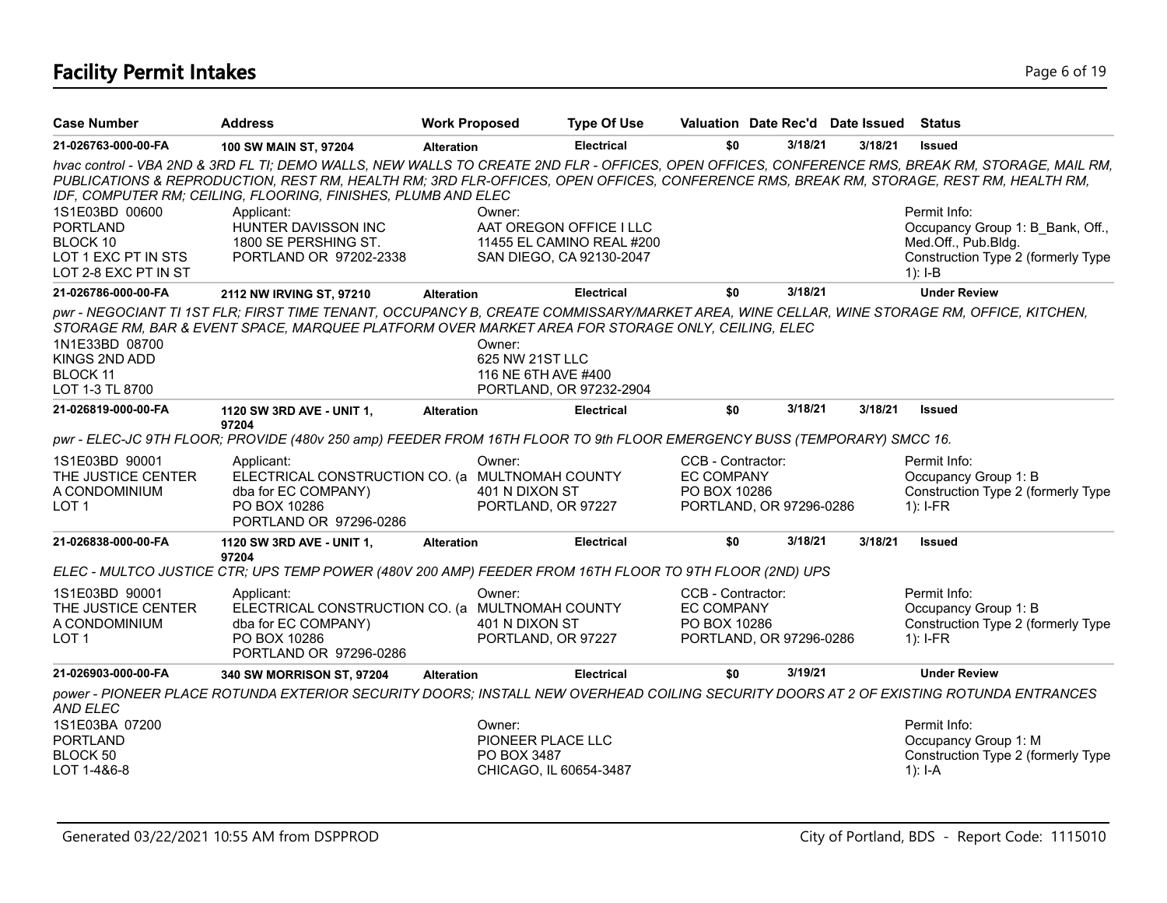# **Facility Permit Intakes** Page 6 of 19

| <b>Case Number</b>                                                        | <b>Address</b>                                                                                                                                                                                                                                | <b>Work Proposed</b>                                                 | <b>Type Of Use</b>        |                                                        | Valuation Date Rec'd Date Issued |         | Status                                                                                                                                           |
|---------------------------------------------------------------------------|-----------------------------------------------------------------------------------------------------------------------------------------------------------------------------------------------------------------------------------------------|----------------------------------------------------------------------|---------------------------|--------------------------------------------------------|----------------------------------|---------|--------------------------------------------------------------------------------------------------------------------------------------------------|
| 21-026763-000-00-FA                                                       | 100 SW MAIN ST, 97204                                                                                                                                                                                                                         | <b>Alteration</b>                                                    | <b>Electrical</b>         | \$0                                                    | 3/18/21                          | 3/18/21 | <b>Issued</b>                                                                                                                                    |
|                                                                           | PUBLICATIONS & REPRODUCTION, REST RM, HEALTH RM; 3RD FLR-OFFICES, OPEN OFFICES, CONFERENCE RMS, BREAK RM, STORAGE, REST RM, HEALTH RM,<br>IDF, COMPUTER RM; CEILING, FLOORING, FINISHES, PLUMB AND ELEC                                       |                                                                      |                           |                                                        |                                  |         | hvac control - VBA 2ND & 3RD FL TI; DEMO WALLS, NEW WALLS TO CREATE 2ND FLR - OFFICES, OPEN OFFICES, CONFERENCE RMS, BREAK RM, STORAGE, MAIL RM, |
| 1S1E03BD 00600                                                            | Applicant:                                                                                                                                                                                                                                    | Owner:                                                               |                           |                                                        |                                  |         | Permit Info:                                                                                                                                     |
| <b>PORTLAND</b>                                                           | HUNTER DAVISSON INC                                                                                                                                                                                                                           |                                                                      | AAT OREGON OFFICE I LLC   |                                                        |                                  |         | Occupancy Group 1: B_Bank, Off.,                                                                                                                 |
| BLOCK 10                                                                  | 1800 SE PERSHING ST.                                                                                                                                                                                                                          |                                                                      | 11455 EL CAMINO REAL #200 |                                                        |                                  |         | Med.Off., Pub.Bldg.                                                                                                                              |
| LOT 1 EXC PT IN STS<br>LOT 2-8 EXC PT IN ST                               | PORTLAND OR 97202-2338                                                                                                                                                                                                                        |                                                                      | SAN DIEGO, CA 92130-2047  |                                                        |                                  |         | Construction Type 2 (formerly Type<br>$1$ : I-B                                                                                                  |
| 21-026786-000-00-FA                                                       | 2112 NW IRVING ST, 97210                                                                                                                                                                                                                      | <b>Alteration</b>                                                    | <b>Electrical</b>         | \$0                                                    | 3/18/21                          |         | <b>Under Review</b>                                                                                                                              |
| 1N1E33BD 08700<br>KINGS 2ND ADD<br><b>BLOCK 11</b><br>LOT 1-3 TL 8700     | pwr - NEGOCIANT TI 1ST FLR; FIRST TIME TENANT, OCCUPANCY B, CREATE COMMISSARY/MARKET AREA, WINE CELLAR, WINE STORAGE RM, OFFICE, KITCHEN,<br>STORAGE RM, BAR & EVENT SPACE, MARQUEE PLATFORM OVER MARKET AREA FOR STORAGE ONLY, CEILING, ELEC | Owner:<br>625 NW 21ST LLC<br>116 NE 6TH AVE #400                     | PORTLAND, OR 97232-2904   |                                                        |                                  |         |                                                                                                                                                  |
| 21-026819-000-00-FA                                                       | 1120 SW 3RD AVE - UNIT 1,                                                                                                                                                                                                                     | <b>Alteration</b>                                                    | <b>Electrical</b>         | \$0                                                    | 3/18/21                          | 3/18/21 | <b>Issued</b>                                                                                                                                    |
|                                                                           | 97204<br>pwr - ELEC-JC 9TH FLOOR; PROVIDE (480v 250 amp) FEEDER FROM 16TH FLOOR TO 9th FLOOR EMERGENCY BUSS (TEMPORARY) SMCC 16.                                                                                                              |                                                                      |                           |                                                        |                                  |         |                                                                                                                                                  |
| 1S1E03BD 90001<br>THE JUSTICE CENTER<br>A CONDOMINIUM<br>LOT <sub>1</sub> | Applicant:<br>ELECTRICAL CONSTRUCTION CO. (a MULTNOMAH COUNTY<br>dba for EC COMPANY)<br>PO BOX 10286<br>PORTLAND OR 97296-0286                                                                                                                | Owner:<br>401 N DIXON ST<br>PORTLAND, OR 97227                       |                           | CCB - Contractor:<br><b>EC COMPANY</b><br>PO BOX 10286 | PORTLAND, OR 97296-0286          |         | Permit Info:<br>Occupancy Group 1: B<br>Construction Type 2 (formerly Type<br>$1$ : I-FR                                                         |
| 21-026838-000-00-FA                                                       | 1120 SW 3RD AVE - UNIT 1,                                                                                                                                                                                                                     | <b>Alteration</b>                                                    | <b>Electrical</b>         | \$0                                                    | 3/18/21                          | 3/18/21 | <b>Issued</b>                                                                                                                                    |
|                                                                           | 97204<br>ELEC - MULTCO JUSTICE CTR; UPS TEMP POWER (480V 200 AMP) FEEDER FROM 16TH FLOOR TO 9TH FLOOR (2ND) UPS                                                                                                                               |                                                                      |                           |                                                        |                                  |         |                                                                                                                                                  |
| 1S1E03BD 90001<br>THE JUSTICE CENTER<br>A CONDOMINIUM<br>LOT <sub>1</sub> | Applicant:<br>ELECTRICAL CONSTRUCTION CO. (a MULTNOMAH COUNTY<br>dba for EC COMPANY)<br>PO BOX 10286<br>PORTLAND OR 97296-0286                                                                                                                | Owner:<br>401 N DIXON ST<br>PORTLAND, OR 97227                       |                           | CCB - Contractor:<br><b>EC COMPANY</b><br>PO BOX 10286 | PORTLAND, OR 97296-0286          |         | Permit Info:<br>Occupancy Group 1: B<br>Construction Type 2 (formerly Type<br>$1$ : I-FR                                                         |
| 21-026903-000-00-FA                                                       | 340 SW MORRISON ST, 97204                                                                                                                                                                                                                     | <b>Alteration</b>                                                    | <b>Electrical</b>         | \$0                                                    | 3/19/21                          |         | <b>Under Review</b>                                                                                                                              |
| <b>AND ELEC</b>                                                           | power - PIONEER PLACE ROTUNDA EXTERIOR SECURITY DOORS; INSTALL NEW OVERHEAD COILING SECURITY DOORS AT 2 OF EXISTING ROTUNDA ENTRANCES                                                                                                         |                                                                      |                           |                                                        |                                  |         |                                                                                                                                                  |
| 1S1E03BA 07200<br><b>PORTLAND</b><br>BLOCK 50<br>LOT 1-4&6-8              |                                                                                                                                                                                                                                               | Owner:<br>PIONEER PLACE LLC<br>PO BOX 3487<br>CHICAGO. IL 60654-3487 |                           |                                                        |                                  |         | Permit Info:<br>Occupancy Group 1: M<br>Construction Type 2 (formerly Type<br>$1$ : I-A                                                          |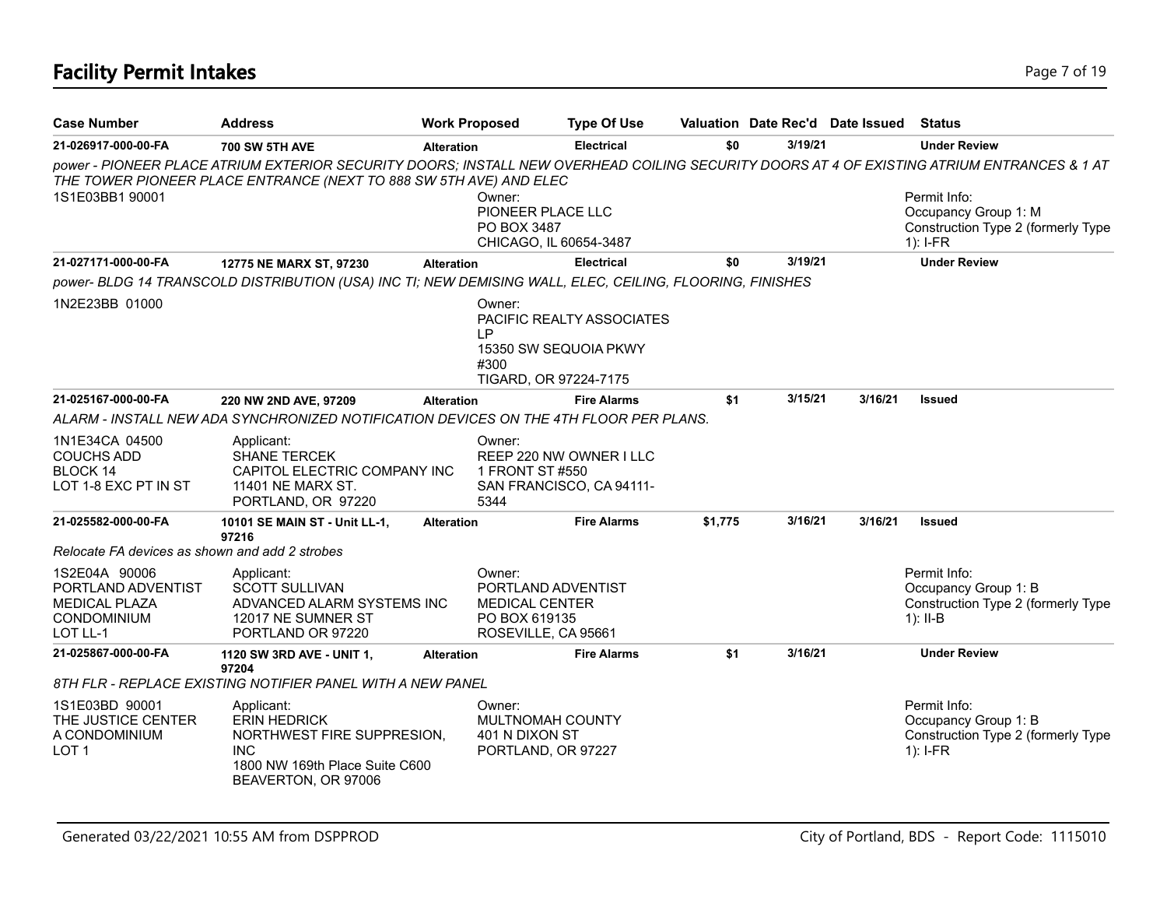| <b>Case Number</b>                                                                     | <b>Address</b>                                                                                                                         |                   | <b>Work Proposed</b>                                                                          | <b>Type Of Use</b>                                  |         | Valuation Date Rec'd Date Issued |         | <b>Status</b>                                                                                                                              |
|----------------------------------------------------------------------------------------|----------------------------------------------------------------------------------------------------------------------------------------|-------------------|-----------------------------------------------------------------------------------------------|-----------------------------------------------------|---------|----------------------------------|---------|--------------------------------------------------------------------------------------------------------------------------------------------|
| 21-026917-000-00-FA                                                                    | <b>700 SW 5TH AVE</b>                                                                                                                  | <b>Alteration</b> |                                                                                               | <b>Electrical</b>                                   | \$0     | 3/19/21                          |         | <b>Under Review</b>                                                                                                                        |
|                                                                                        | THE TOWER PIONEER PLACE ENTRANCE (NEXT TO 888 SW 5TH AVE) AND ELEC                                                                     |                   |                                                                                               |                                                     |         |                                  |         | power - PIONEER PLACE ATRIUM EXTERIOR SECURITY DOORS; INSTALL NEW OVERHEAD COILING SECURITY DOORS AT 4 OF EXISTING ATRIUM ENTRANCES & 1 AT |
| 1S1E03BB1 90001                                                                        |                                                                                                                                        |                   | Owner:<br>PIONEER PLACE LLC<br>PO BOX 3487                                                    |                                                     |         |                                  |         | Permit Info:<br>Occupancy Group 1: M<br>Construction Type 2 (formerly Type                                                                 |
|                                                                                        |                                                                                                                                        |                   | CHICAGO, IL 60654-3487                                                                        |                                                     |         |                                  |         | $1$ : I-FR                                                                                                                                 |
| 21-027171-000-00-FA                                                                    | 12775 NE MARX ST, 97230                                                                                                                | <b>Alteration</b> |                                                                                               | <b>Electrical</b>                                   | \$0     | 3/19/21                          |         | <b>Under Review</b>                                                                                                                        |
|                                                                                        | power- BLDG 14 TRANSCOLD DISTRIBUTION (USA) INC TI; NEW DEMISING WALL, ELEC, CEILING, FLOORING, FINISHES                               |                   |                                                                                               |                                                     |         |                                  |         |                                                                                                                                            |
| 1N2E23BB 01000                                                                         |                                                                                                                                        |                   | Owner:<br>IP<br>#300<br>TIGARD, OR 97224-7175                                                 | PACIFIC REALTY ASSOCIATES<br>15350 SW SEQUOIA PKWY  |         |                                  |         |                                                                                                                                            |
| 21-025167-000-00-FA                                                                    | 220 NW 2ND AVE, 97209                                                                                                                  | <b>Alteration</b> |                                                                                               | <b>Fire Alarms</b>                                  | \$1     | 3/15/21                          | 3/16/21 | <b>Issued</b>                                                                                                                              |
|                                                                                        | ALARM - INSTALL NEW ADA SYNCHRONIZED NOTIFICATION DEVICES ON THE 4TH FLOOR PER PLANS.                                                  |                   |                                                                                               |                                                     |         |                                  |         |                                                                                                                                            |
| 1N1E34CA 04500<br><b>COUCHS ADD</b><br><b>BLOCK 14</b><br>LOT 1-8 EXC PT IN ST         | Applicant:<br><b>SHANE TERCEK</b><br>CAPITOL ELECTRIC COMPANY INC<br>11401 NE MARX ST.<br>PORTLAND, OR 97220                           |                   | Owner:<br>1 FRONT ST #550<br>5344                                                             | REEP 220 NW OWNER I LLC<br>SAN FRANCISCO, CA 94111- |         |                                  |         |                                                                                                                                            |
| 21-025582-000-00-FA                                                                    | 10101 SE MAIN ST - Unit LL-1,<br>97216                                                                                                 | <b>Alteration</b> |                                                                                               | <b>Fire Alarms</b>                                  | \$1,775 | 3/16/21                          | 3/16/21 | <b>Issued</b>                                                                                                                              |
| Relocate FA devices as shown and add 2 strobes                                         |                                                                                                                                        |                   |                                                                                               |                                                     |         |                                  |         |                                                                                                                                            |
| 1S2E04A 90006<br>PORTLAND ADVENTIST<br><b>MEDICAL PLAZA</b><br>CONDOMINIUM<br>LOT LL-1 | Applicant:<br><b>SCOTT SULLIVAN</b><br>ADVANCED ALARM SYSTEMS INC<br>12017 NE SUMNER ST<br>PORTLAND OR 97220                           |                   | Owner:<br>PORTLAND ADVENTIST<br><b>MEDICAL CENTER</b><br>PO BOX 619135<br>ROSEVILLE, CA 95661 |                                                     |         |                                  |         | Permit Info:<br>Occupancy Group 1: B<br>Construction Type 2 (formerly Type<br>$1$ : II-B                                                   |
| 21-025867-000-00-FA                                                                    | 1120 SW 3RD AVE - UNIT 1,                                                                                                              | <b>Alteration</b> |                                                                                               | <b>Fire Alarms</b>                                  | \$1     | 3/16/21                          |         | <b>Under Review</b>                                                                                                                        |
|                                                                                        | 97204<br>8TH FLR - REPLACE EXISTING NOTIFIER PANEL WITH A NEW PANEL                                                                    |                   |                                                                                               |                                                     |         |                                  |         |                                                                                                                                            |
| 1S1E03BD 90001<br>THE JUSTICE CENTER<br>A CONDOMINIUM<br>LOT <sub>1</sub>              | Applicant:<br><b>ERIN HEDRICK</b><br>NORTHWEST FIRE SUPPRESION,<br><b>INC</b><br>1800 NW 169th Place Suite C600<br>BEAVERTON, OR 97006 |                   | Owner:<br><b>MULTNOMAH COUNTY</b><br>401 N DIXON ST<br>PORTLAND, OR 97227                     |                                                     |         |                                  |         | Permit Info:<br>Occupancy Group 1: B<br>Construction Type 2 (formerly Type<br>$1$ : I-FR                                                   |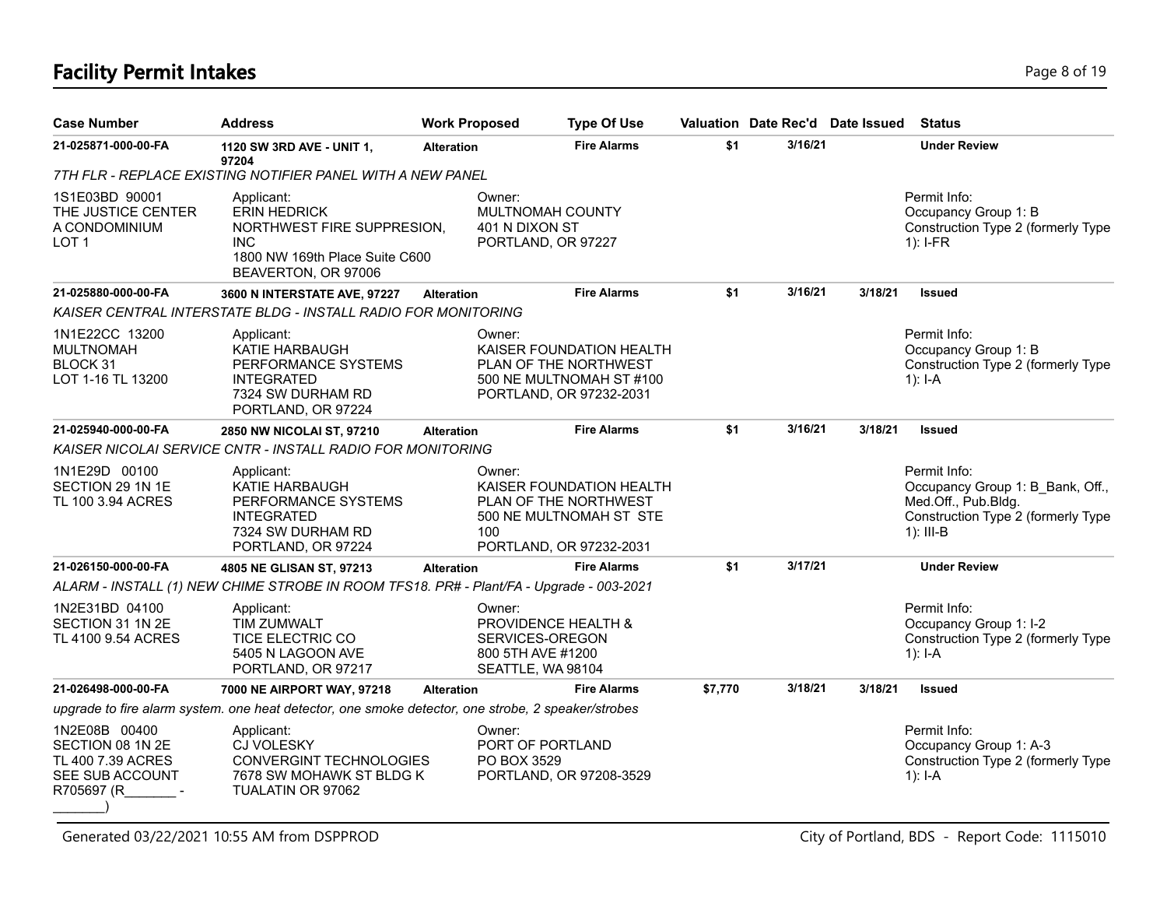# **Facility Permit Intakes** Page 8 of 19

| <b>Case Number</b>                                                                      | <b>Address</b>                                                                                                                         | <b>Work Proposed</b> | <b>Type Of Use</b>                                                                                                 |         | Valuation Date Rec'd Date Issued |         | <b>Status</b>                                                                                                                |
|-----------------------------------------------------------------------------------------|----------------------------------------------------------------------------------------------------------------------------------------|----------------------|--------------------------------------------------------------------------------------------------------------------|---------|----------------------------------|---------|------------------------------------------------------------------------------------------------------------------------------|
| 21-025871-000-00-FA                                                                     | 1120 SW 3RD AVE - UNIT 1,                                                                                                              | <b>Alteration</b>    | <b>Fire Alarms</b>                                                                                                 | \$1     | 3/16/21                          |         | <b>Under Review</b>                                                                                                          |
|                                                                                         | 97204<br>7TH FLR - REPLACE EXISTING NOTIFIER PANEL WITH A NEW PANEL                                                                    |                      |                                                                                                                    |         |                                  |         |                                                                                                                              |
| 1S1E03BD 90001<br>THE JUSTICE CENTER<br>A CONDOMINIUM<br>LOT <sub>1</sub>               | Applicant:<br><b>ERIN HEDRICK</b><br>NORTHWEST FIRE SUPPRESION,<br><b>INC</b><br>1800 NW 169th Place Suite C600<br>BEAVERTON, OR 97006 |                      | Owner:<br>MULTNOMAH COUNTY<br>401 N DIXON ST<br>PORTLAND, OR 97227                                                 |         |                                  |         | Permit Info:<br>Occupancy Group 1: B<br>Construction Type 2 (formerly Type<br>$1$ : I-FR                                     |
| 21-025880-000-00-FA                                                                     | 3600 N INTERSTATE AVE, 97227                                                                                                           | <b>Alteration</b>    | <b>Fire Alarms</b>                                                                                                 | \$1     | 3/16/21                          | 3/18/21 | <b>Issued</b>                                                                                                                |
|                                                                                         | KAISER CENTRAL INTERSTATE BLDG - INSTALL RADIO FOR MONITORING                                                                          |                      |                                                                                                                    |         |                                  |         |                                                                                                                              |
| 1N1E22CC 13200<br><b>MULTNOMAH</b><br>BLOCK 31<br>LOT 1-16 TL 13200                     | Applicant:<br>KATIE HARBAUGH<br>PERFORMANCE SYSTEMS<br><b>INTEGRATED</b><br>7324 SW DURHAM RD<br>PORTLAND, OR 97224                    |                      | Owner:<br>KAISER FOUNDATION HEALTH<br>PLAN OF THE NORTHWEST<br>500 NE MULTNOMAH ST #100<br>PORTLAND, OR 97232-2031 |         |                                  |         | Permit Info:<br>Occupancy Group 1: B<br>Construction Type 2 (formerly Type<br>1): $I - A$                                    |
| 21-025940-000-00-FA                                                                     | 2850 NW NICOLAI ST, 97210                                                                                                              | <b>Alteration</b>    | <b>Fire Alarms</b>                                                                                                 | \$1     | 3/16/21                          | 3/18/21 | <b>Issued</b>                                                                                                                |
|                                                                                         | KAISER NICOLAI SERVICE CNTR - INSTALL RADIO FOR MONITORING                                                                             |                      |                                                                                                                    |         |                                  |         |                                                                                                                              |
| 1N1E29D 00100<br>SECTION 29 1N 1E<br>TL 100 3.94 ACRES                                  | Applicant:<br>KATIE HARBAUGH<br>PERFORMANCE SYSTEMS<br><b>INTEGRATED</b><br>7324 SW DURHAM RD<br>PORTLAND, OR 97224                    | 100                  | Owner:<br>KAISER FOUNDATION HEALTH<br>PLAN OF THE NORTHWEST<br>500 NE MULTNOMAH ST STE<br>PORTLAND, OR 97232-2031  |         |                                  |         | Permit Info:<br>Occupancy Group 1: B_Bank, Off.,<br>Med.Off., Pub.Bldg.<br>Construction Type 2 (formerly Type<br>$1$ : III-B |
| 21-026150-000-00-FA                                                                     | 4805 NE GLISAN ST, 97213                                                                                                               | <b>Alteration</b>    | <b>Fire Alarms</b>                                                                                                 | \$1     | 3/17/21                          |         | <b>Under Review</b>                                                                                                          |
|                                                                                         | ALARM - INSTALL (1) NEW CHIME STROBE IN ROOM TFS18. PR# - Plant/FA - Upgrade - 003-2021                                                |                      |                                                                                                                    |         |                                  |         |                                                                                                                              |
| 1N2E31BD 04100<br>SECTION 31 1N 2E<br>TL 4100 9.54 ACRES                                | Applicant:<br>TIM ZUMWALT<br>TICE ELECTRIC CO<br>5405 N LAGOON AVE<br>PORTLAND, OR 97217                                               |                      | Owner:<br>PROVIDENCE HEALTH &<br>SERVICES-OREGON<br>800 5TH AVE #1200<br>SEATTLE, WA 98104                         |         |                                  |         | Permit Info:<br>Occupancy Group 1: I-2<br>Construction Type 2 (formerly Type<br>1): $I - A$                                  |
| 21-026498-000-00-FA                                                                     | 7000 NE AIRPORT WAY, 97218                                                                                                             | <b>Alteration</b>    | <b>Fire Alarms</b>                                                                                                 | \$7,770 | 3/18/21                          | 3/18/21 | <b>Issued</b>                                                                                                                |
|                                                                                         | upgrade to fire alarm system. one heat detector, one smoke detector, one strobe, 2 speaker/strobes                                     |                      |                                                                                                                    |         |                                  |         |                                                                                                                              |
| 1N2E08B 00400<br>SECTION 08 1N 2E<br>TL 400 7.39 ACRES<br>SEE SUB ACCOUNT<br>R705697 (R | Applicant:<br>CJ VOLESKY<br><b>CONVERGINT TECHNOLOGIES</b><br>7678 SW MOHAWK ST BLDG K<br>TUALATIN OR 97062                            |                      | Owner:<br>PORT OF PORTLAND<br>PO BOX 3529<br>PORTLAND, OR 97208-3529                                               |         |                                  |         | Permit Info:<br>Occupancy Group 1: A-3<br>Construction Type 2 (formerly Type<br>1): I-A                                      |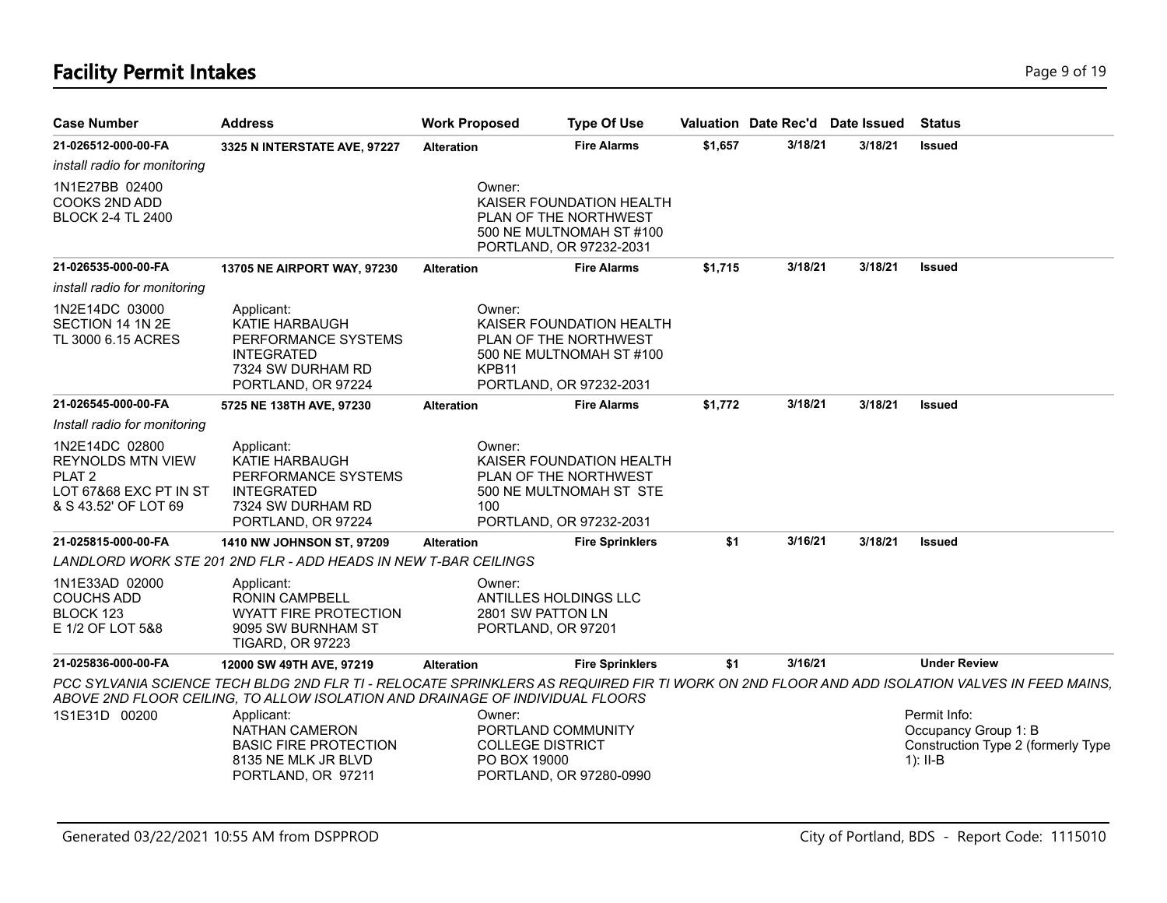# **Facility Permit Intakes** Page 9 of 19

| <b>Case Number</b>                                                                                                | <b>Address</b>                                                                                                             | <b>Work Proposed</b>        | <b>Type Of Use</b>                                                                                       |         |         | Valuation Date Rec'd Date Issued | <b>Status</b>                                                                                                                                |
|-------------------------------------------------------------------------------------------------------------------|----------------------------------------------------------------------------------------------------------------------------|-----------------------------|----------------------------------------------------------------------------------------------------------|---------|---------|----------------------------------|----------------------------------------------------------------------------------------------------------------------------------------------|
| 21-026512-000-00-FA                                                                                               | 3325 N INTERSTATE AVE, 97227                                                                                               | <b>Alteration</b>           | <b>Fire Alarms</b>                                                                                       | \$1,657 | 3/18/21 | 3/18/21                          | <b>Issued</b>                                                                                                                                |
| install radio for monitoring                                                                                      |                                                                                                                            |                             |                                                                                                          |         |         |                                  |                                                                                                                                              |
| 1N1E27BB 02400<br>COOKS 2ND ADD<br><b>BLOCK 2-4 TL 2400</b>                                                       |                                                                                                                            | Owner:                      | KAISER FOUNDATION HEALTH<br>PLAN OF THE NORTHWEST<br>500 NE MULTNOMAH ST #100<br>PORTLAND, OR 97232-2031 |         |         |                                  |                                                                                                                                              |
| 21-026535-000-00-FA                                                                                               | 13705 NE AIRPORT WAY, 97230                                                                                                | <b>Alteration</b>           | <b>Fire Alarms</b>                                                                                       | \$1,715 | 3/18/21 | 3/18/21                          | <b>Issued</b>                                                                                                                                |
| install radio for monitoring                                                                                      |                                                                                                                            |                             |                                                                                                          |         |         |                                  |                                                                                                                                              |
| 1N2E14DC 03000<br>SECTION 14 1N 2E<br>TL 3000 6.15 ACRES                                                          | Applicant:<br><b>KATIE HARBAUGH</b><br>PERFORMANCE SYSTEMS<br><b>INTEGRATED</b><br>7324 SW DURHAM RD<br>PORTLAND, OR 97224 | Owner:<br>KPB <sub>11</sub> | KAISER FOUNDATION HEALTH<br>PLAN OF THE NORTHWEST<br>500 NE MULTNOMAH ST #100<br>PORTLAND, OR 97232-2031 |         |         |                                  |                                                                                                                                              |
| 21-026545-000-00-FA                                                                                               | 5725 NE 138TH AVE, 97230                                                                                                   | <b>Alteration</b>           | <b>Fire Alarms</b>                                                                                       | \$1,772 | 3/18/21 | 3/18/21                          | <b>Issued</b>                                                                                                                                |
| Install radio for monitoring                                                                                      |                                                                                                                            |                             |                                                                                                          |         |         |                                  |                                                                                                                                              |
| 1N2E14DC 02800<br><b>REYNOLDS MTN VIEW</b><br>PLAT <sub>2</sub><br>LOT 67&68 EXC PT IN ST<br>& S 43.52' OF LOT 69 | Applicant:<br>KATIE HARBAUGH<br>PERFORMANCE SYSTEMS<br><b>INTEGRATED</b><br>7324 SW DURHAM RD<br>PORTLAND, OR 97224        | Owner:<br>100               | KAISER FOUNDATION HEALTH<br>PLAN OF THE NORTHWEST<br>500 NE MULTNOMAH ST STE<br>PORTLAND, OR 97232-2031  |         |         |                                  |                                                                                                                                              |
| 21-025815-000-00-FA                                                                                               | <b>1410 NW JOHNSON ST, 97209</b>                                                                                           | <b>Alteration</b>           | <b>Fire Sprinklers</b>                                                                                   | \$1     | 3/16/21 | 3/18/21                          | <b>Issued</b>                                                                                                                                |
|                                                                                                                   | LANDLORD WORK STE 201 2ND FLR - ADD HEADS IN NEW T-BAR CEILINGS                                                            |                             |                                                                                                          |         |         |                                  |                                                                                                                                              |
| 1N1E33AD 02000<br><b>COUCHS ADD</b><br>BLOCK 123<br>E 1/2 OF LOT 5&8                                              | Applicant:<br><b>RONIN CAMPBELL</b><br><b>WYATT FIRE PROTECTION</b><br>9095 SW BURNHAM ST<br><b>TIGARD, OR 97223</b>       | Owner:                      | ANTILLES HOLDINGS LLC<br>2801 SW PATTON LN<br>PORTLAND, OR 97201                                         |         |         |                                  |                                                                                                                                              |
| 21-025836-000-00-FA                                                                                               | 12000 SW 49TH AVE, 97219                                                                                                   | <b>Alteration</b>           | <b>Fire Sprinklers</b>                                                                                   | \$1     | 3/16/21 |                                  | <b>Under Review</b>                                                                                                                          |
|                                                                                                                   | ABOVE 2ND FLOOR CEILING, TO ALLOW ISOLATION AND DRAINAGE OF INDIVIDUAL FLOORS                                              |                             |                                                                                                          |         |         |                                  | PCC SYLVANIA SCIENCE TECH BLDG 2ND FLR TI - RELOCATE SPRINKLERS AS REQUIRED FIR TI WORK ON 2ND FLOOR AND ADD ISOLATION VALVES IN FEED MAINS, |
| 1S1E31D 00200                                                                                                     | Applicant:<br><b>NATHAN CAMERON</b><br><b>BASIC FIRE PROTECTION</b><br>8135 NE MLK JR BLVD<br>PORTLAND, OR 97211           | Owner:                      | PORTLAND COMMUNITY<br><b>COLLEGE DISTRICT</b><br>PO BOX 19000<br>PORTLAND, OR 97280-0990                 |         |         |                                  | Permit Info:<br>Occupancy Group 1: B<br>Construction Type 2 (formerly Type<br>1): $II-B$                                                     |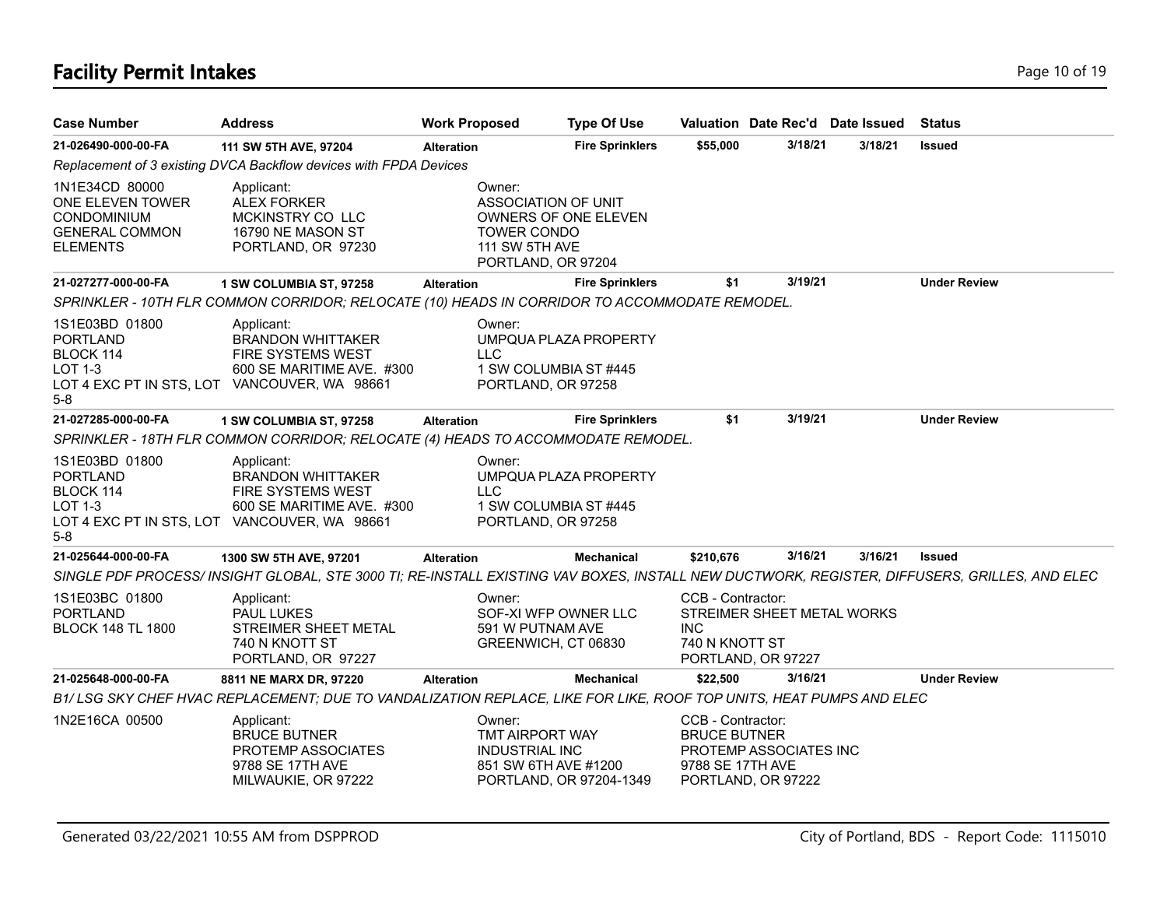# **Facility Permit Intakes** Page 10 of 19

| <b>Case Number</b>                                                                                   | <b>Address</b>                                                                                                                               | <b>Work Proposed</b>                                                                        | <b>Type Of Use</b>                             |                                                              |                                                  | Valuation Date Rec'd Date Issued | <b>Status</b>       |
|------------------------------------------------------------------------------------------------------|----------------------------------------------------------------------------------------------------------------------------------------------|---------------------------------------------------------------------------------------------|------------------------------------------------|--------------------------------------------------------------|--------------------------------------------------|----------------------------------|---------------------|
| 21-026490-000-00-FA                                                                                  | 111 SW 5TH AVE, 97204                                                                                                                        | <b>Alteration</b>                                                                           | <b>Fire Sprinklers</b>                         | \$55,000                                                     | 3/18/21                                          | 3/18/21                          | <b>Issued</b>       |
|                                                                                                      | Replacement of 3 existing DVCA Backflow devices with FPDA Devices                                                                            |                                                                                             |                                                |                                                              |                                                  |                                  |                     |
| 1N1E34CD 80000<br>ONE ELEVEN TOWER<br><b>CONDOMINIUM</b><br><b>GENERAL COMMON</b><br><b>ELEMENTS</b> | Applicant:<br><b>ALEX FORKER</b><br>MCKINSTRY CO LLC<br>16790 NE MASON ST<br>PORTLAND, OR 97230                                              | Owner:<br>ASSOCIATION OF UNIT<br><b>TOWER CONDO</b><br>111 SW 5TH AVE<br>PORTLAND, OR 97204 | <b>OWNERS OF ONE ELEVEN</b>                    |                                                              |                                                  |                                  |                     |
| 21-027277-000-00-FA                                                                                  | 1 SW COLUMBIA ST, 97258                                                                                                                      | <b>Alteration</b>                                                                           | <b>Fire Sprinklers</b>                         | \$1                                                          | 3/19/21                                          |                                  | <b>Under Review</b> |
|                                                                                                      | SPRINKLER - 10TH FLR COMMON CORRIDOR; RELOCATE (10) HEADS IN CORRIDOR TO ACCOMMODATE REMODEL.                                                |                                                                                             |                                                |                                                              |                                                  |                                  |                     |
| 1S1E03BD 01800<br><b>PORTLAND</b><br>BLOCK 114<br>LOT 1-3<br>5-8                                     | Applicant:<br><b>BRANDON WHITTAKER</b><br>FIRE SYSTEMS WEST<br>600 SE MARITIME AVE. #300<br>LOT 4 EXC PT IN STS, LOT VANCOUVER, WA 98661     | Owner:<br><b>LLC</b><br>PORTLAND, OR 97258                                                  | UMPQUA PLAZA PROPERTY<br>1 SW COLUMBIA ST #445 |                                                              |                                                  |                                  |                     |
| 21-027285-000-00-FA                                                                                  | 1 SW COLUMBIA ST, 97258                                                                                                                      | <b>Alteration</b>                                                                           | <b>Fire Sprinklers</b>                         | \$1                                                          | 3/19/21                                          |                                  | <b>Under Review</b> |
|                                                                                                      | SPRINKLER - 18TH FLR COMMON CORRIDOR; RELOCATE (4) HEADS TO ACCOMMODATE REMODEL.                                                             |                                                                                             |                                                |                                                              |                                                  |                                  |                     |
| 1S1E03BD 01800<br><b>PORTLAND</b><br>BLOCK 114<br>LOT 1-3<br>5-8                                     | Applicant:<br><b>BRANDON WHITTAKER</b><br>FIRE SYSTEMS WEST<br>600 SE MARITIME AVE. #300<br>LOT 4 EXC PT IN STS, LOT VANCOUVER, WA 98661     | Owner:<br><b>LLC</b><br>PORTLAND, OR 97258                                                  | UMPQUA PLAZA PROPERTY<br>1 SW COLUMBIA ST #445 |                                                              |                                                  |                                  |                     |
| 21-025644-000-00-FA                                                                                  | 1300 SW 5TH AVE, 97201                                                                                                                       | <b>Alteration</b>                                                                           | Mechanical                                     | \$210,676                                                    | 3/16/21                                          | 3/16/21                          | <b>Issued</b>       |
|                                                                                                      | SINGLE PDF PROCESS/ INSIGHT GLOBAL, STE 3000 TI; RE-INSTALL EXISTING VAV BOXES, INSTALL NEW DUCTWORK, REGISTER, DIFFUSERS, GRILLES, AND ELEC |                                                                                             |                                                |                                                              |                                                  |                                  |                     |
| 1S1E03BC 01800<br><b>PORTLAND</b><br><b>BLOCK 148 TL 1800</b>                                        | Applicant:<br><b>PAUL LUKES</b><br>STREIMER SHEET METAL<br>740 N KNOTT ST<br>PORTLAND, OR 97227                                              | Owner:<br>591 W PUTNAM AVE<br>GREENWICH, CT 06830                                           | SOF-XI WFP OWNER LLC                           | CCB - Contractor:<br><b>INC</b><br>740 N KNOTT ST            | STREIMER SHEET METAL WORKS<br>PORTLAND, OR 97227 |                                  |                     |
| 21-025648-000-00-FA                                                                                  | 8811 NE MARX DR, 97220                                                                                                                       | <b>Alteration</b>                                                                           | <b>Mechanical</b>                              | \$22,500                                                     | 3/16/21                                          |                                  | <b>Under Review</b> |
|                                                                                                      | B1/LSG SKY CHEF HVAC REPLACEMENT; DUE TO VANDALIZATION REPLACE, LIKE FOR LIKE, ROOF TOP UNITS, HEAT PUMPS AND ELEC                           |                                                                                             |                                                |                                                              |                                                  |                                  |                     |
| 1N2E16CA 00500                                                                                       | Applicant:<br><b>BRUCE BUTNER</b><br>PROTEMP ASSOCIATES<br>9788 SE 17TH AVE<br>MILWAUKIE, OR 97222                                           | Owner:<br>TMT AIRPORT WAY<br><b>INDUSTRIAL INC</b><br>851 SW 6TH AVE #1200                  | PORTLAND, OR 97204-1349                        | CCB - Contractor:<br><b>BRUCE BUTNER</b><br>9788 SE 17TH AVE | PROTEMP ASSOCIATES INC<br>PORTLAND, OR 97222     |                                  |                     |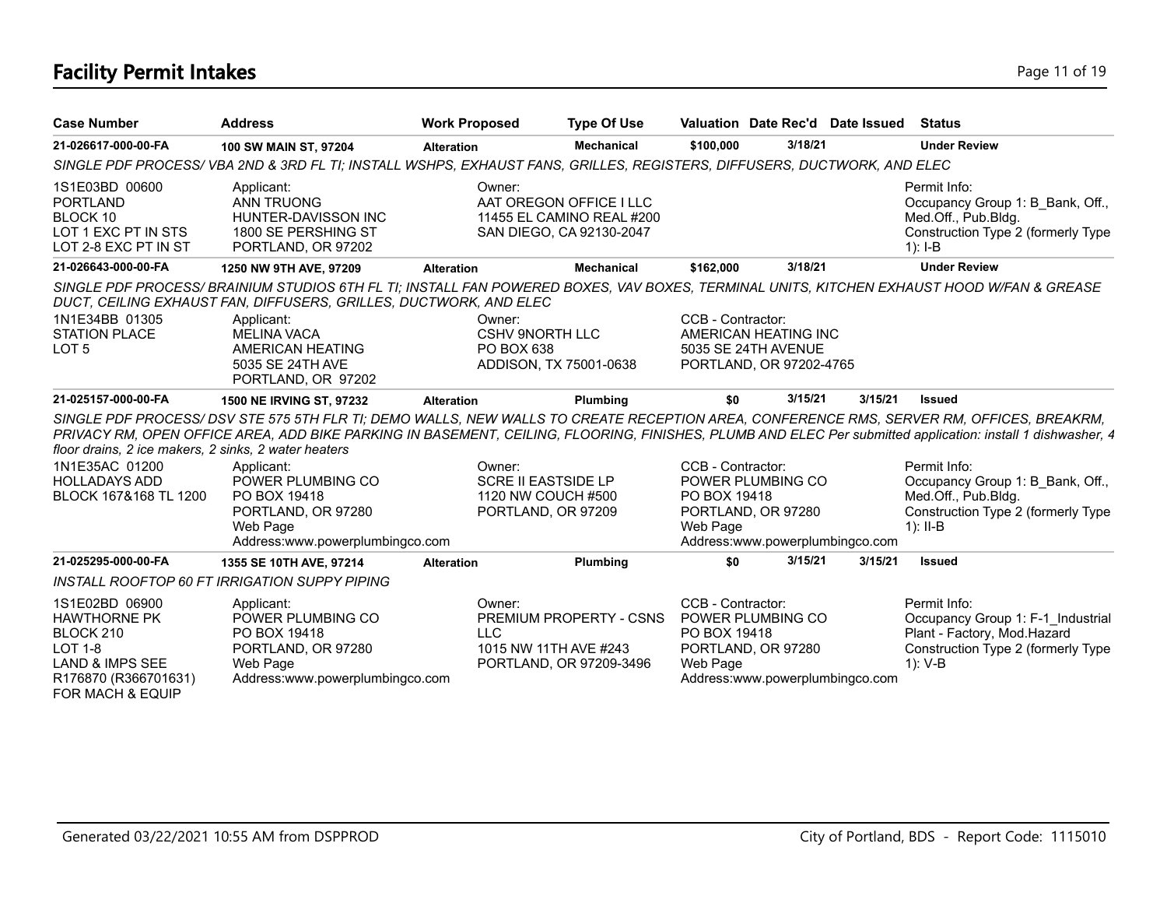# **Facility Permit Intakes** Page 11 of 19

| <b>Case Number</b>                                                                                                                             | <b>Address</b>                                                                                                                                                                                                              | <b>Work Proposed</b> | <b>Type Of Use</b>                                                                         |                                               | Valuation Date Rec'd Date Issued                                           |         | Status                                                                                                                                                                                                                                                                                                |
|------------------------------------------------------------------------------------------------------------------------------------------------|-----------------------------------------------------------------------------------------------------------------------------------------------------------------------------------------------------------------------------|----------------------|--------------------------------------------------------------------------------------------|-----------------------------------------------|----------------------------------------------------------------------------|---------|-------------------------------------------------------------------------------------------------------------------------------------------------------------------------------------------------------------------------------------------------------------------------------------------------------|
| 21-026617-000-00-FA                                                                                                                            | 100 SW MAIN ST, 97204                                                                                                                                                                                                       | <b>Alteration</b>    | <b>Mechanical</b>                                                                          | \$100,000                                     | 3/18/21                                                                    |         | <b>Under Review</b>                                                                                                                                                                                                                                                                                   |
|                                                                                                                                                | SINGLE PDF PROCESS/VBA 2ND & 3RD FL TI; INSTALL WSHPS, EXHAUST FANS, GRILLES, REGISTERS, DIFFUSERS, DUCTWORK, AND ELEC                                                                                                      |                      |                                                                                            |                                               |                                                                            |         |                                                                                                                                                                                                                                                                                                       |
| 1S1E03BD 00600<br><b>PORTLAND</b><br>BLOCK 10<br>LOT 1 EXC PT IN STS<br>LOT 2-8 EXC PT IN ST                                                   | Applicant:<br><b>ANN TRUONG</b><br>HUNTER-DAVISSON INC<br>1800 SE PERSHING ST<br>PORTLAND, OR 97202                                                                                                                         |                      | Owner:<br>AAT OREGON OFFICE I LLC<br>11455 EL CAMINO REAL #200<br>SAN DIEGO, CA 92130-2047 |                                               |                                                                            |         | Permit Info:<br>Occupancy Group 1: B_Bank, Off.,<br>Med.Off., Pub.Bldg.<br>Construction Type 2 (formerly Type<br>$1$ : I-B                                                                                                                                                                            |
| 21-026643-000-00-FA                                                                                                                            | 1250 NW 9TH AVE, 97209                                                                                                                                                                                                      | <b>Alteration</b>    | <b>Mechanical</b>                                                                          | \$162,000                                     | 3/18/21                                                                    |         | <b>Under Review</b>                                                                                                                                                                                                                                                                                   |
| 1N1E34BB 01305                                                                                                                                 | SINGLE PDF PROCESS/BRAINIUM STUDIOS 6TH FL TI; INSTALL FAN POWERED BOXES, VAV BOXES, TERMINAL UNITS, KITCHEN EXHAUST HOOD W/FAN & GREASE<br>DUCT, CEILING EXHAUST FAN, DIFFUSERS, GRILLES, DUCTWORK, AND ELEC<br>Applicant: |                      | Owner:                                                                                     | CCB - Contractor:                             |                                                                            |         |                                                                                                                                                                                                                                                                                                       |
| <b>STATION PLACE</b><br>LOT <sub>5</sub>                                                                                                       | <b>MELINA VACA</b><br>AMERICAN HEATING<br>5035 SE 24TH AVE<br>PORTLAND, OR 97202                                                                                                                                            |                      | <b>CSHV 9NORTH LLC</b><br>PO BOX 638<br>ADDISON, TX 75001-0638                             |                                               | AMERICAN HEATING INC<br>5035 SE 24TH AVENUE<br>PORTLAND, OR 97202-4765     |         |                                                                                                                                                                                                                                                                                                       |
| 21-025157-000-00-FA                                                                                                                            | 1500 NE IRVING ST, 97232                                                                                                                                                                                                    | <b>Alteration</b>    | Plumbing                                                                                   | \$0                                           | 3/15/21                                                                    | 3/15/21 | <b>Issued</b>                                                                                                                                                                                                                                                                                         |
| floor drains, 2 ice makers, 2 sinks, 2 water heaters                                                                                           |                                                                                                                                                                                                                             |                      |                                                                                            |                                               |                                                                            |         | SINGLE PDF PROCESS/DSV STE 575 5TH FLR TI; DEMO WALLS, NEW WALLS TO CREATE RECEPTION AREA, CONFERENCE RMS, SERVER RM, OFFICES, BREAKRM,<br>PRIVACY RM, OPEN OFFICE AREA, ADD BIKE PARKING IN BASEMENT, CEILING, FLOORING, FINISHES, PLUMB AND ELEC Per submitted application: install 1 dishwasher, 4 |
| 1N1E35AC 01200<br><b>HOLLADAYS ADD</b><br>BLOCK 167&168 TL 1200                                                                                | Applicant:<br>POWER PLUMBING CO<br>PO BOX 19418<br>PORTLAND, OR 97280<br>Web Page                                                                                                                                           |                      | Owner:<br><b>SCRE II EASTSIDE LP</b><br>1120 NW COUCH #500<br>PORTLAND, OR 97209           | CCB - Contractor:<br>PO BOX 19418<br>Web Page | POWER PLUMBING CO<br>PORTLAND, OR 97280                                    |         | Permit Info:<br>Occupancy Group 1: B Bank, Off.,<br>Med.Off., Pub.Bldg.<br>Construction Type 2 (formerly Type<br>$1$ : II-B                                                                                                                                                                           |
|                                                                                                                                                | Address:www.powerplumbingco.com                                                                                                                                                                                             |                      |                                                                                            |                                               | Address:www.powerplumbingco.com                                            |         |                                                                                                                                                                                                                                                                                                       |
| 21-025295-000-00-FA                                                                                                                            | 1355 SE 10TH AVE, 97214                                                                                                                                                                                                     | <b>Alteration</b>    | Plumbing                                                                                   | \$0                                           | 3/15/21                                                                    | 3/15/21 | <b>Issued</b>                                                                                                                                                                                                                                                                                         |
|                                                                                                                                                | INSTALL ROOFTOP 60 FT IRRIGATION SUPPY PIPING                                                                                                                                                                               |                      |                                                                                            |                                               |                                                                            |         |                                                                                                                                                                                                                                                                                                       |
| 1S1E02BD 06900<br><b>HAWTHORNE PK</b><br>BLOCK 210<br><b>LOT 1-8</b><br><b>LAND &amp; IMPS SEE</b><br>R176870 (R366701631)<br>FOR MACH & EQUIP | Applicant:<br>POWER PLUMBING CO<br>PO BOX 19418<br>PORTLAND, OR 97280<br>Web Page<br>Address:www.powerplumbingco.com                                                                                                        | <b>LLC</b>           | Owner:<br>PREMIUM PROPERTY - CSNS<br>1015 NW 11TH AVE #243<br>PORTLAND, OR 97209-3496      | CCB - Contractor:<br>PO BOX 19418<br>Web Page | POWER PLUMBING CO<br>PORTLAND, OR 97280<br>Address:www.powerplumbingco.com |         | Permit Info:<br>Occupancy Group 1: F-1 Industrial<br>Plant - Factory, Mod.Hazard<br>Construction Type 2 (formerly Type<br>$1): V-B$                                                                                                                                                                   |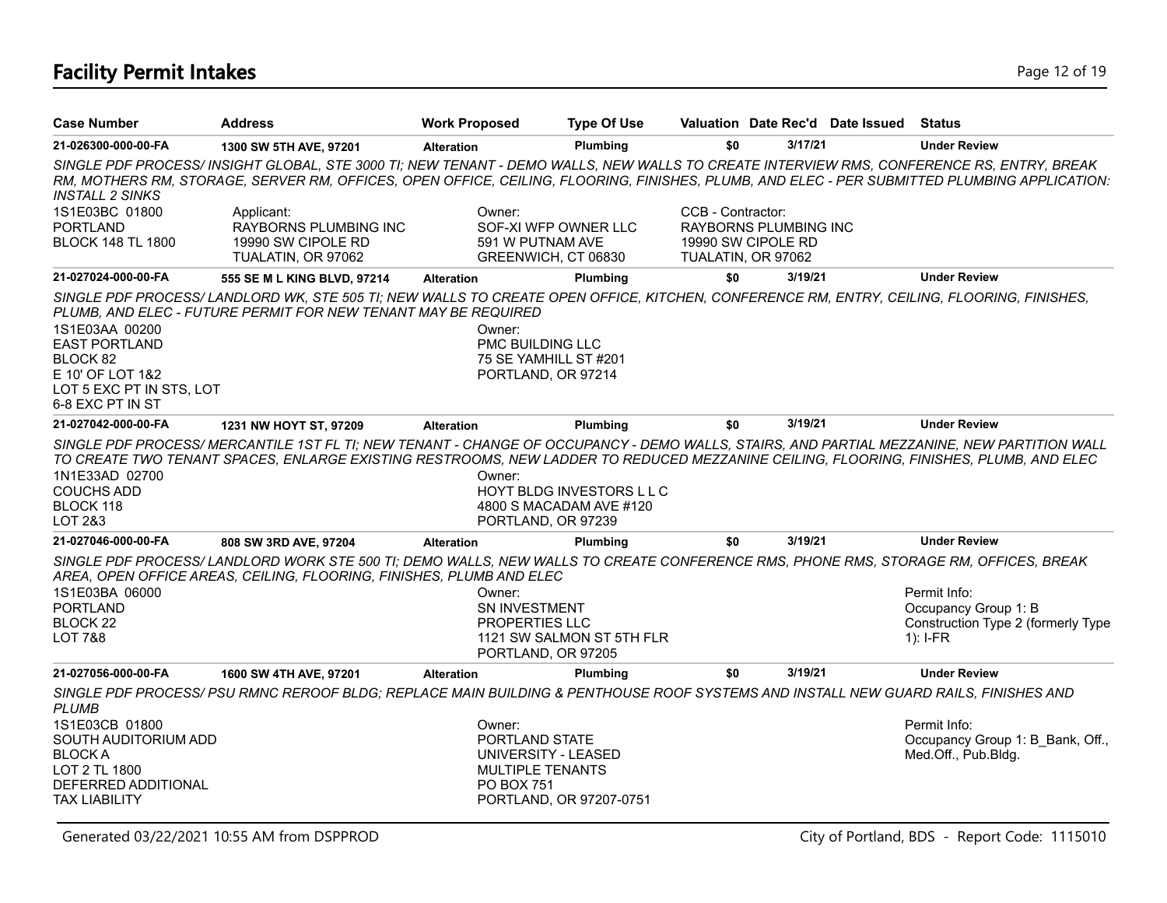# **Facility Permit Intakes** Page 12 of 19

| <b>Case Number</b>                                                                                   | <b>Address</b>                                                                                                                                                                                                                                                                      | <b>Work Proposed</b>                                                     | <b>Type Of Use</b>                                                       |                                         |                                                    | Valuation Date Rec'd Date Issued | Status                                                                                                                                       |
|------------------------------------------------------------------------------------------------------|-------------------------------------------------------------------------------------------------------------------------------------------------------------------------------------------------------------------------------------------------------------------------------------|--------------------------------------------------------------------------|--------------------------------------------------------------------------|-----------------------------------------|----------------------------------------------------|----------------------------------|----------------------------------------------------------------------------------------------------------------------------------------------|
| 21-026300-000-00-FA                                                                                  | 1300 SW 5TH AVE, 97201                                                                                                                                                                                                                                                              | <b>Alteration</b>                                                        | Plumbing                                                                 | \$0                                     | 3/17/21                                            |                                  | <b>Under Review</b>                                                                                                                          |
| <b>INSTALL 2 SINKS</b>                                                                               | SINGLE PDF PROCESS/ INSIGHT GLOBAL, STE 3000 TI; NEW TENANT - DEMO WALLS, NEW WALLS TO CREATE INTERVIEW RMS, CONFERENCE RS, ENTRY, BREAK                                                                                                                                            |                                                                          |                                                                          |                                         |                                                    |                                  | RM, MOTHERS RM, STORAGE, SERVER RM, OFFICES, OPEN OFFICE, CEILING, FLOORING, FINISHES, PLUMB, AND ELEC - PER SUBMITTED PLUMBING APPLICATION: |
| 1S1E03BC 01800<br><b>PORTLAND</b><br><b>BLOCK 148 TL 1800</b>                                        | Applicant:<br><b>RAYBORNS PLUMBING INC</b><br>19990 SW CIPOLE RD<br>TUALATIN, OR 97062                                                                                                                                                                                              | Owner:<br>591 W PUTNAM AVE                                               | SOF-XI WFP OWNER LLC<br>GREENWICH, CT 06830                              | CCB - Contractor:<br>TUALATIN, OR 97062 | <b>RAYBORNS PLUMBING INC</b><br>19990 SW CIPOLE RD |                                  |                                                                                                                                              |
| 21-027024-000-00-FA                                                                                  | 555 SE M L KING BLVD, 97214                                                                                                                                                                                                                                                         | <b>Alteration</b>                                                        | Plumbing                                                                 | \$0                                     | 3/19/21                                            |                                  | <b>Under Review</b>                                                                                                                          |
| 1S1E03AA 00200                                                                                       | SINGLE PDF PROCESS/LANDLORD WK, STE 505 TI; NEW WALLS TO CREATE OPEN OFFICE, KITCHEN, CONFERENCE RM, ENTRY, CEILING, FLOORING, FINISHES,<br>PLUMB, AND ELEC - FUTURE PERMIT FOR NEW TENANT MAY BE REQUIRED                                                                          | Owner:                                                                   |                                                                          |                                         |                                                    |                                  |                                                                                                                                              |
| <b>EAST PORTLAND</b><br>BLOCK 82<br>E 10' OF LOT 1&2<br>LOT 5 EXC PT IN STS, LOT<br>6-8 EXC PT IN ST |                                                                                                                                                                                                                                                                                     | PMC BUILDING LLC                                                         | 75 SE YAMHILL ST #201<br>PORTLAND, OR 97214                              |                                         |                                                    |                                  |                                                                                                                                              |
| 21-027042-000-00-FA                                                                                  | 1231 NW HOYT ST, 97209                                                                                                                                                                                                                                                              | <b>Alteration</b>                                                        | Plumbing                                                                 | \$0                                     | 3/19/21                                            |                                  | <b>Under Review</b>                                                                                                                          |
| 1N1E33AD 02700<br><b>COUCHS ADD</b><br>BLOCK 118<br>LOT 2&3                                          | SINGLE PDF PROCESS/ MERCANTILE 1ST FL TI; NEW TENANT - CHANGE OF OCCUPANCY - DEMO WALLS, STAIRS, AND PARTIAL MEZZANINE, NEW PARTITION WALL<br>TO CREATE TWO TENANT SPACES, ENLARGE EXISTING RESTROOMS, NEW LADDER TO REDUCED MEZZANINE CEILING, FLOORING, FINISHES, PLUMB, AND ELEC | Owner:                                                                   | HOYT BLDG INVESTORS LLC<br>4800 S MACADAM AVE #120<br>PORTLAND, OR 97239 |                                         |                                                    |                                  |                                                                                                                                              |
| 21-027046-000-00-FA                                                                                  | 808 SW 3RD AVE, 97204                                                                                                                                                                                                                                                               | <b>Alteration</b>                                                        | Plumbing                                                                 | \$0                                     | 3/19/21                                            |                                  | <b>Under Review</b>                                                                                                                          |
| 1S1E03BA 06000<br><b>PORTLAND</b><br><b>BLOCK 22</b><br><b>LOT 7&amp;8</b>                           | SINGLE PDF PROCESS/LANDLORD WORK STE 500 TI; DEMO WALLS, NEW WALLS TO CREATE CONFERENCE RMS, PHONE RMS, STORAGE RM, OFFICES, BREAK<br>AREA, OPEN OFFICE AREAS, CEILING, FLOORING, FINISHES, PLUMB AND ELEC                                                                          | Owner:<br>SN INVESTMENT<br><b>PROPERTIES LLC</b>                         | 1121 SW SALMON ST 5TH FLR<br>PORTLAND, OR 97205                          |                                         |                                                    |                                  | Permit Info:<br>Occupancy Group 1: B<br>Construction Type 2 (formerly Type<br>$1$ : I-FR                                                     |
| 21-027056-000-00-FA                                                                                  | 1600 SW 4TH AVE, 97201                                                                                                                                                                                                                                                              | <b>Alteration</b>                                                        | Plumbing                                                                 | \$0                                     | 3/19/21                                            |                                  | <b>Under Review</b>                                                                                                                          |
| <b>PLUMB</b>                                                                                         | SINGLE PDF PROCESS/ PSU RMNC REROOF BLDG; REPLACE MAIN BUILDING & PENTHOUSE ROOF SYSTEMS AND INSTALL NEW GUARD RAILS, FINISHES AND                                                                                                                                                  |                                                                          |                                                                          |                                         |                                                    |                                  |                                                                                                                                              |
| 1S1E03CB 01800<br>SOUTH AUDITORIUM ADD<br><b>BLOCKA</b><br>LOT 2 TL 1800<br>DEFERRED ADDITIONAL      |                                                                                                                                                                                                                                                                                     | Owner:<br>PORTLAND STATE<br><b>MULTIPLE TENANTS</b><br><b>PO BOX 751</b> | UNIVERSITY - LEASED                                                      |                                         |                                                    |                                  | Permit Info:<br>Occupancy Group 1: B Bank, Off.,<br>Med.Off., Pub.Bldg.                                                                      |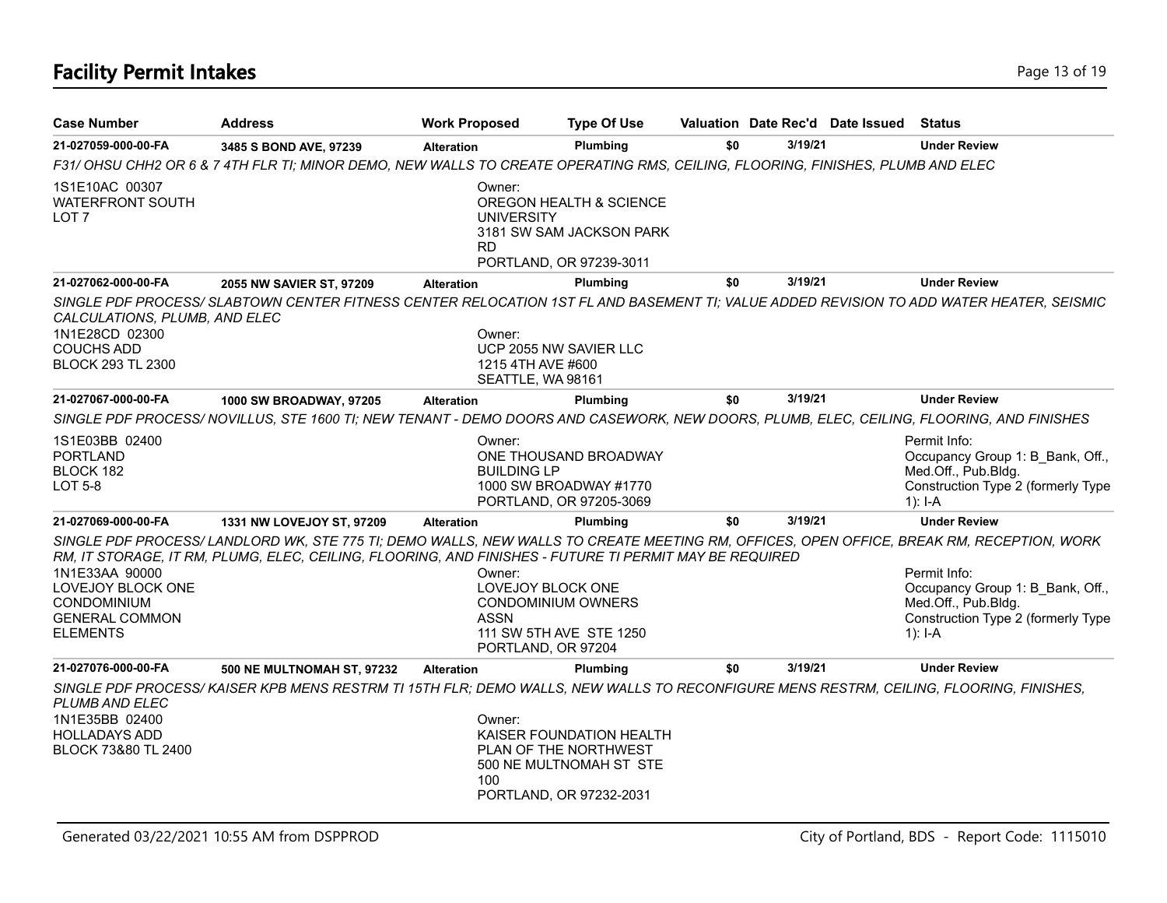# **Facility Permit Intakes** Page 13 of 19

| <b>Case Number</b>                                                                                    | <b>Address</b>                                                                                                                                                                                                                                    | <b>Work Proposed</b>                                             | <b>Type Of Use</b>                                                                                      |     |         | Valuation Date Rec'd Date Issued | <b>Status</b>                                                                                                              |
|-------------------------------------------------------------------------------------------------------|---------------------------------------------------------------------------------------------------------------------------------------------------------------------------------------------------------------------------------------------------|------------------------------------------------------------------|---------------------------------------------------------------------------------------------------------|-----|---------|----------------------------------|----------------------------------------------------------------------------------------------------------------------------|
| 21-027059-000-00-FA                                                                                   | 3485 S BOND AVE, 97239                                                                                                                                                                                                                            | <b>Alteration</b>                                                | Plumbing                                                                                                | \$0 | 3/19/21 |                                  | <b>Under Review</b>                                                                                                        |
|                                                                                                       | F31/OHSU CHH2 OR 6 & 7 4TH FLR TI; MINOR DEMO, NEW WALLS TO CREATE OPERATING RMS, CEILING, FLOORING, FINISHES, PLUMB AND ELEC                                                                                                                     |                                                                  |                                                                                                         |     |         |                                  |                                                                                                                            |
| 1S1E10AC 00307<br><b>WATERFRONT SOUTH</b><br>LOT 7                                                    |                                                                                                                                                                                                                                                   | Owner:<br>UNIVERSITY<br><b>RD</b>                                | OREGON HEALTH & SCIENCE<br>3181 SW SAM JACKSON PARK<br>PORTLAND, OR 97239-3011                          |     |         |                                  |                                                                                                                            |
| 21-027062-000-00-FA                                                                                   | 2055 NW SAVIER ST, 97209                                                                                                                                                                                                                          | <b>Alteration</b>                                                | Plumbing                                                                                                | \$0 | 3/19/21 |                                  | <b>Under Review</b>                                                                                                        |
| CALCULATIONS, PLUMB, AND ELEC<br>1N1E28CD 02300<br><b>COUCHS ADD</b><br><b>BLOCK 293 TL 2300</b>      | SINGLE PDF PROCESS/ SLABTOWN CENTER FITNESS CENTER RELOCATION 1ST FL AND BASEMENT TI; VALUE ADDED REVISION TO ADD WATER HEATER, SEISMIC                                                                                                           | Owner:<br>1215 4TH AVE #600<br>SEATTLE, WA 98161                 | UCP 2055 NW SAVIER LLC                                                                                  |     |         |                                  |                                                                                                                            |
| 21-027067-000-00-FA                                                                                   | 1000 SW BROADWAY, 97205                                                                                                                                                                                                                           | <b>Alteration</b>                                                | Plumbing                                                                                                | \$0 | 3/19/21 |                                  | <b>Under Review</b>                                                                                                        |
|                                                                                                       | SINGLE PDF PROCESS/ NOVILLUS, STE 1600 TI; NEW TENANT - DEMO DOORS AND CASEWORK, NEW DOORS, PLUMB, ELEC, CEILING, FLOORING, AND FINISHES                                                                                                          |                                                                  |                                                                                                         |     |         |                                  |                                                                                                                            |
| 1S1E03BB 02400<br><b>PORTLAND</b><br>BLOCK 182<br>LOT 5-8                                             |                                                                                                                                                                                                                                                   | Owner:<br><b>BUILDING LP</b>                                     | ONE THOUSAND BROADWAY<br>1000 SW BROADWAY #1770<br>PORTLAND, OR 97205-3069                              |     |         |                                  | Permit Info:<br>Occupancy Group 1: B Bank, Off.,<br>Med.Off., Pub.Bldg.<br>Construction Type 2 (formerly Type<br>$1$ : I-A |
| 21-027069-000-00-FA                                                                                   | 1331 NW LOVEJOY ST, 97209                                                                                                                                                                                                                         | <b>Alteration</b>                                                | Plumbing                                                                                                | \$0 | 3/19/21 |                                  | <b>Under Review</b>                                                                                                        |
| 1N1E33AA 90000<br>LOVEJOY BLOCK ONE<br><b>CONDOMINIUM</b><br><b>GENERAL COMMON</b><br><b>ELEMENTS</b> | SINGLE PDF PROCESS/LANDLORD WK, STE 775 TI; DEMO WALLS, NEW WALLS TO CREATE MEETING RM, OFFICES, OPEN OFFICE, BREAK RM, RECEPTION, WORK<br>RM, IT STORAGE, IT RM, PLUMG, ELEC, CEILING, FLOORING, AND FINISHES - FUTURE TI PERMIT MAY BE REQUIRED | Owner:<br>LOVEJOY BLOCK ONE<br><b>ASSN</b><br>PORTLAND, OR 97204 | <b>CONDOMINIUM OWNERS</b><br>111 SW 5TH AVE STE 1250                                                    |     |         |                                  | Permit Info:<br>Occupancy Group 1: B Bank, Off.,<br>Med.Off., Pub.Bldg.<br>Construction Type 2 (formerly Type<br>$1$ : I-A |
| 21-027076-000-00-FA                                                                                   | 500 NE MULTNOMAH ST, 97232                                                                                                                                                                                                                        | <b>Alteration</b>                                                | Plumbing                                                                                                | \$0 | 3/19/21 |                                  | <b>Under Review</b>                                                                                                        |
| PLUMB AND ELEC<br>1N1E35BB 02400<br><b>HOLLADAYS ADD</b><br>BLOCK 73&80 TL 2400                       | SINGLE PDF PROCESS/KAISER KPB MENS RESTRM TI 15TH FLR; DEMO WALLS, NEW WALLS TO RECONFIGURE MENS RESTRM, CEILING, FLOORING, FINISHES,                                                                                                             | Owner:<br>100                                                    | KAISER FOUNDATION HEALTH<br>PLAN OF THE NORTHWEST<br>500 NE MULTNOMAH ST STE<br>PORTLAND, OR 97232-2031 |     |         |                                  |                                                                                                                            |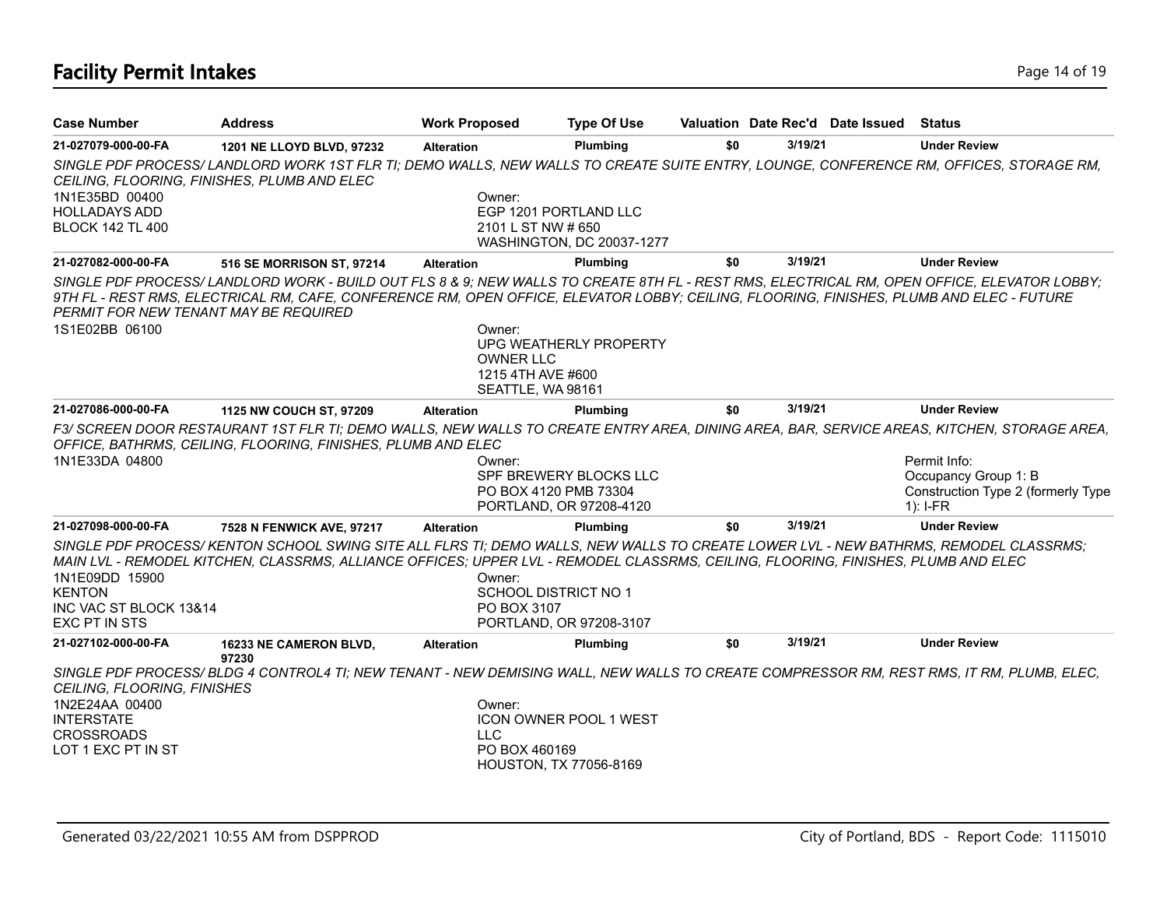# **Facility Permit Intakes** Page 14 of 19

| <b>Case Number</b>                      | <b>Address</b>                                                                                                                                                                                                                                                                         | <b>Work Proposed</b>                       | <b>Type Of Use</b>            | Valuation Date Rec'd Date Issued Status |         |                                                                          |
|-----------------------------------------|----------------------------------------------------------------------------------------------------------------------------------------------------------------------------------------------------------------------------------------------------------------------------------------|--------------------------------------------|-------------------------------|-----------------------------------------|---------|--------------------------------------------------------------------------|
| 21-027079-000-00-FA                     | 1201 NE LLOYD BLVD, 97232                                                                                                                                                                                                                                                              | <b>Alteration</b>                          | Plumbing                      | \$0                                     | 3/19/21 | <b>Under Review</b>                                                      |
|                                         | SINGLE PDF PROCESS/LANDLORD WORK 1ST FLR TI; DEMO WALLS, NEW WALLS TO CREATE SUITE ENTRY, LOUNGE, CONFERENCE RM, OFFICES, STORAGE RM,<br>CEILING, FLOORING, FINISHES, PLUMB AND ELEC                                                                                                   |                                            |                               |                                         |         |                                                                          |
| 1N1E35BD 00400                          |                                                                                                                                                                                                                                                                                        | Owner:                                     |                               |                                         |         |                                                                          |
| <b>HOLLADAYS ADD</b>                    |                                                                                                                                                                                                                                                                                        |                                            | EGP 1201 PORTLAND LLC         |                                         |         |                                                                          |
| <b>BLOCK 142 TL 400</b>                 |                                                                                                                                                                                                                                                                                        | 2101 L ST NW # 650                         | WASHINGTON, DC 20037-1277     |                                         |         |                                                                          |
| 21-027082-000-00-FA                     | 516 SE MORRISON ST, 97214                                                                                                                                                                                                                                                              | <b>Alteration</b>                          | Plumbing                      | \$0                                     | 3/19/21 | <b>Under Review</b>                                                      |
| PERMIT FOR NEW TENANT MAY BE REQUIRED   | SINGLE PDF PROCESS/LANDLORD WORK - BUILD OUT FLS 8 & 9; NEW WALLS TO CREATE 8TH FL - REST RMS, ELECTRICAL RM, OPEN OFFICE, ELEVATOR LOBBY;<br>9TH FL - REST RMS, ELECTRICAL RM, CAFE, CONFERENCE RM, OPEN OFFICE, ELEVATOR LOBBY; CEILING, FLOORING, FINISHES, PLUMB AND ELEC - FUTURE |                                            |                               |                                         |         |                                                                          |
| 1S1E02BB 06100                          |                                                                                                                                                                                                                                                                                        | Owner:                                     |                               |                                         |         |                                                                          |
|                                         |                                                                                                                                                                                                                                                                                        | <b>OWNER LLC</b>                           | UPG WEATHERLY PROPERTY        |                                         |         |                                                                          |
|                                         |                                                                                                                                                                                                                                                                                        | 1215 4TH AVE #600                          |                               |                                         |         |                                                                          |
|                                         |                                                                                                                                                                                                                                                                                        | SEATTLE, WA 98161                          |                               |                                         |         |                                                                          |
| 21-027086-000-00-FA                     | 1125 NW COUCH ST, 97209                                                                                                                                                                                                                                                                | <b>Alteration</b>                          | Plumbing                      | \$0                                     | 3/19/21 | <b>Under Review</b>                                                      |
|                                         | F3/ SCREEN DOOR RESTAURANT 1ST FLR TI; DEMO WALLS, NEW WALLS TO CREATE ENTRY AREA, DINING AREA, BAR, SERVICE AREAS, KITCHEN, STORAGE AREA,                                                                                                                                             |                                            |                               |                                         |         |                                                                          |
|                                         | OFFICE, BATHRMS, CEILING, FLOORING, FINISHES, PLUMB AND ELEC                                                                                                                                                                                                                           |                                            |                               |                                         |         |                                                                          |
| 1N1E33DA 04800                          |                                                                                                                                                                                                                                                                                        | Owner:                                     | SPF BREWERY BLOCKS LLC        |                                         |         | Permit Info:                                                             |
|                                         |                                                                                                                                                                                                                                                                                        | PO BOX 4120 PMB 73304                      | PORTLAND, OR 97208-4120       |                                         |         | Occupancy Group 1: B<br>Construction Type 2 (formerly Type<br>$1$ : I-FR |
| 21-027098-000-00-FA                     | 7528 N FENWICK AVE, 97217                                                                                                                                                                                                                                                              | <b>Alteration</b>                          | Plumbing                      | \$0                                     | 3/19/21 | <b>Under Review</b>                                                      |
|                                         | SINGLE PDF PROCESS/KENTON SCHOOL SWING SITE ALL FLRS TI; DEMO WALLS, NEW WALLS TO CREATE LOWER LVL - NEW BATHRMS, REMODEL CLASSRMS;                                                                                                                                                    |                                            |                               |                                         |         |                                                                          |
|                                         | MAIN LVL - REMODEL KITCHEN, CLASSRMS, ALLIANCE OFFICES; UPPER LVL - REMODEL CLASSRMS, CEILING, FLOORING, FINISHES, PLUMB AND ELEC                                                                                                                                                      |                                            |                               |                                         |         |                                                                          |
| 1N1E09DD 15900                          |                                                                                                                                                                                                                                                                                        | Owner:                                     |                               |                                         |         |                                                                          |
| <b>KENTON</b><br>INC VAC ST BLOCK 13&14 |                                                                                                                                                                                                                                                                                        | <b>SCHOOL DISTRICT NO 1</b><br>PO BOX 3107 |                               |                                         |         |                                                                          |
| EXC PT IN STS                           |                                                                                                                                                                                                                                                                                        |                                            | PORTLAND, OR 97208-3107       |                                         |         |                                                                          |
| 21-027102-000-00-FA                     | 16233 NE CAMERON BLVD,                                                                                                                                                                                                                                                                 | <b>Alteration</b>                          | Plumbing                      | \$0                                     | 3/19/21 | <b>Under Review</b>                                                      |
|                                         | 97230                                                                                                                                                                                                                                                                                  |                                            |                               |                                         |         |                                                                          |
| <b>CEILING, FLOORING, FINISHES</b>      | SINGLE PDF PROCESS/BLDG 4 CONTROL4 TI; NEW TENANT - NEW DEMISING WALL, NEW WALLS TO CREATE COMPRESSOR RM, REST RMS, IT RM, PLUMB, ELEC,                                                                                                                                                |                                            |                               |                                         |         |                                                                          |
| 1N2E24AA 00400                          |                                                                                                                                                                                                                                                                                        | Owner:                                     |                               |                                         |         |                                                                          |
| <b>INTERSTATE</b><br><b>CROSSROADS</b>  |                                                                                                                                                                                                                                                                                        | <b>LLC</b>                                 | <b>ICON OWNER POOL 1 WEST</b> |                                         |         |                                                                          |
| LOT 1 EXC PT IN ST                      |                                                                                                                                                                                                                                                                                        | PO BOX 460169                              |                               |                                         |         |                                                                          |
|                                         |                                                                                                                                                                                                                                                                                        |                                            | HOUSTON, TX 77056-8169        |                                         |         |                                                                          |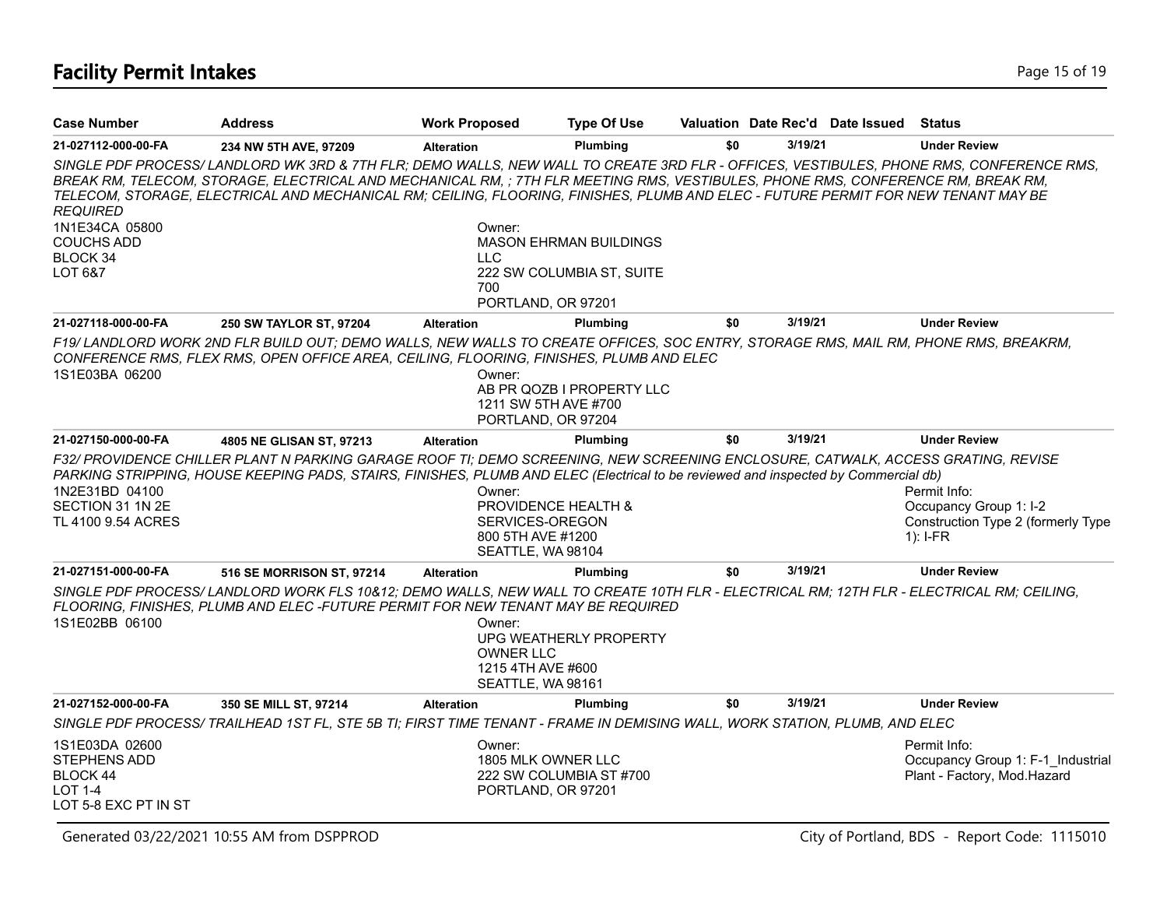### **Facility Permit Intakes** Page 15 of 19

| <b>Case Number</b>                                                                                 | <b>Address</b>                                                                                                                                                                                                                                                                                                                                                                                                   | <b>Work Proposed</b>                                                                                  | <b>Type Of Use</b>            |     |         | Valuation Date Rec'd Date Issued | <b>Status</b>                                                                              |
|----------------------------------------------------------------------------------------------------|------------------------------------------------------------------------------------------------------------------------------------------------------------------------------------------------------------------------------------------------------------------------------------------------------------------------------------------------------------------------------------------------------------------|-------------------------------------------------------------------------------------------------------|-------------------------------|-----|---------|----------------------------------|--------------------------------------------------------------------------------------------|
| 21-027112-000-00-FA                                                                                | 234 NW 5TH AVE, 97209                                                                                                                                                                                                                                                                                                                                                                                            | <b>Alteration</b>                                                                                     | <b>Plumbina</b>               | \$0 | 3/19/21 |                                  | <b>Under Review</b>                                                                        |
| <b>REQUIRED</b>                                                                                    | SINGLE PDF PROCESS/ LANDLORD WK 3RD & 7TH FLR; DEMO WALLS, NEW WALL TO CREATE 3RD FLR - OFFICES, VESTIBULES, PHONE RMS, CONFERENCE RMS,<br>BREAK RM, TELECOM, STORAGE, ELECTRICAL AND MECHANICAL RM, ; 7TH FLR MEETING RMS, VESTIBULES, PHONE RMS, CONFERENCE RM, BREAK RM,<br>TELECOM, STORAGE, ELECTRICAL AND MECHANICAL RM; CEILING, FLOORING, FINISHES, PLUMB AND ELEC - FUTURE PERMIT FOR NEW TENANT MAY BE |                                                                                                       |                               |     |         |                                  |                                                                                            |
| 1N1E34CA 05800<br><b>COUCHS ADD</b><br>BLOCK 34                                                    |                                                                                                                                                                                                                                                                                                                                                                                                                  | Owner:<br><b>LLC</b>                                                                                  | <b>MASON EHRMAN BUILDINGS</b> |     |         |                                  |                                                                                            |
| LOT 6&7                                                                                            |                                                                                                                                                                                                                                                                                                                                                                                                                  | 700<br>PORTLAND, OR 97201                                                                             | 222 SW COLUMBIA ST, SUITE     |     |         |                                  |                                                                                            |
| 21-027118-000-00-FA                                                                                | 250 SW TAYLOR ST, 97204                                                                                                                                                                                                                                                                                                                                                                                          | <b>Alteration</b>                                                                                     | Plumbing                      | \$0 | 3/19/21 |                                  | <b>Under Review</b>                                                                        |
| 1S1E03BA 06200                                                                                     | F19/LANDLORD WORK 2ND FLR BUILD OUT; DEMO WALLS, NEW WALLS TO CREATE OFFICES, SOC ENTRY, STORAGE RMS, MAIL RM, PHONE RMS, BREAKRM,<br>CONFERENCE RMS, FLEX RMS, OPEN OFFICE AREA, CEILING, FLOORING, FINISHES, PLUMB AND ELEC                                                                                                                                                                                    | Owner:<br>1211 SW 5TH AVE #700<br>PORTLAND, OR 97204                                                  | AB PR QOZB I PROPERTY LLC     |     |         |                                  |                                                                                            |
| 21-027150-000-00-FA                                                                                | 4805 NE GLISAN ST, 97213                                                                                                                                                                                                                                                                                                                                                                                         | <b>Alteration</b>                                                                                     | Plumbing                      | \$0 | 3/19/21 |                                  | <b>Under Review</b>                                                                        |
| 1N2E31BD 04100<br>SECTION 31 1N 2E<br>TL 4100 9.54 ACRES                                           | F32/ PROVIDENCE CHILLER PLANT N PARKING GARAGE ROOF TI; DEMO SCREENING, NEW SCREENING ENCLOSURE, CATWALK, ACCESS GRATING, REVISE<br>PARKING STRIPPING, HOUSE KEEPING PADS, STAIRS, FINISHES, PLUMB AND ELEC (Electrical to be reviewed and inspected by Commercial db)                                                                                                                                           | Owner:<br><b>PROVIDENCE HEALTH &amp;</b><br>SERVICES-OREGON<br>800 5TH AVE #1200<br>SEATTLE, WA 98104 |                               |     |         |                                  | Permit Info:<br>Occupancy Group 1: I-2<br>Construction Type 2 (formerly Type<br>$1$ : I-FR |
| 21-027151-000-00-FA                                                                                | 516 SE MORRISON ST, 97214                                                                                                                                                                                                                                                                                                                                                                                        | <b>Alteration</b>                                                                                     | Plumbing                      | \$0 | 3/19/21 |                                  | <b>Under Review</b>                                                                        |
| 1S1E02BB 06100                                                                                     | SINGLE PDF PROCESS/LANDLORD WORK FLS 10&12; DEMO WALLS, NEW WALL TO CREATE 10TH FLR - ELECTRICAL RM; 12TH FLR - ELECTRICAL RM; CEILING,<br>FLOORING, FINISHES, PLUMB AND ELEC -FUTURE PERMIT FOR NEW TENANT MAY BE REQUIRED                                                                                                                                                                                      | Owner:<br><b>OWNER LLC</b><br>1215 4TH AVE #600<br>SEATTLE, WA 98161                                  | UPG WEATHERLY PROPERTY        |     |         |                                  |                                                                                            |
| 21-027152-000-00-FA                                                                                | 350 SE MILL ST, 97214                                                                                                                                                                                                                                                                                                                                                                                            | <b>Alteration</b>                                                                                     | Plumbing                      | \$0 | 3/19/21 |                                  | <b>Under Review</b>                                                                        |
|                                                                                                    | SINGLE PDF PROCESS/ TRAILHEAD 1ST FL, STE 5B TI; FIRST TIME TENANT - FRAME IN DEMISING WALL, WORK STATION, PLUMB, AND ELEC                                                                                                                                                                                                                                                                                       |                                                                                                       |                               |     |         |                                  |                                                                                            |
| 1S1E03DA 02600<br><b>STEPHENS ADD</b><br><b>BLOCK 44</b><br><b>LOT 1-4</b><br>LOT 5-8 EXC PT IN ST |                                                                                                                                                                                                                                                                                                                                                                                                                  | Owner:<br>1805 MLK OWNER LLC<br>PORTLAND, OR 97201                                                    | 222 SW COLUMBIA ST #700       |     |         |                                  | Permit Info:<br>Occupancy Group 1: F-1 Industrial<br>Plant - Factory, Mod.Hazard           |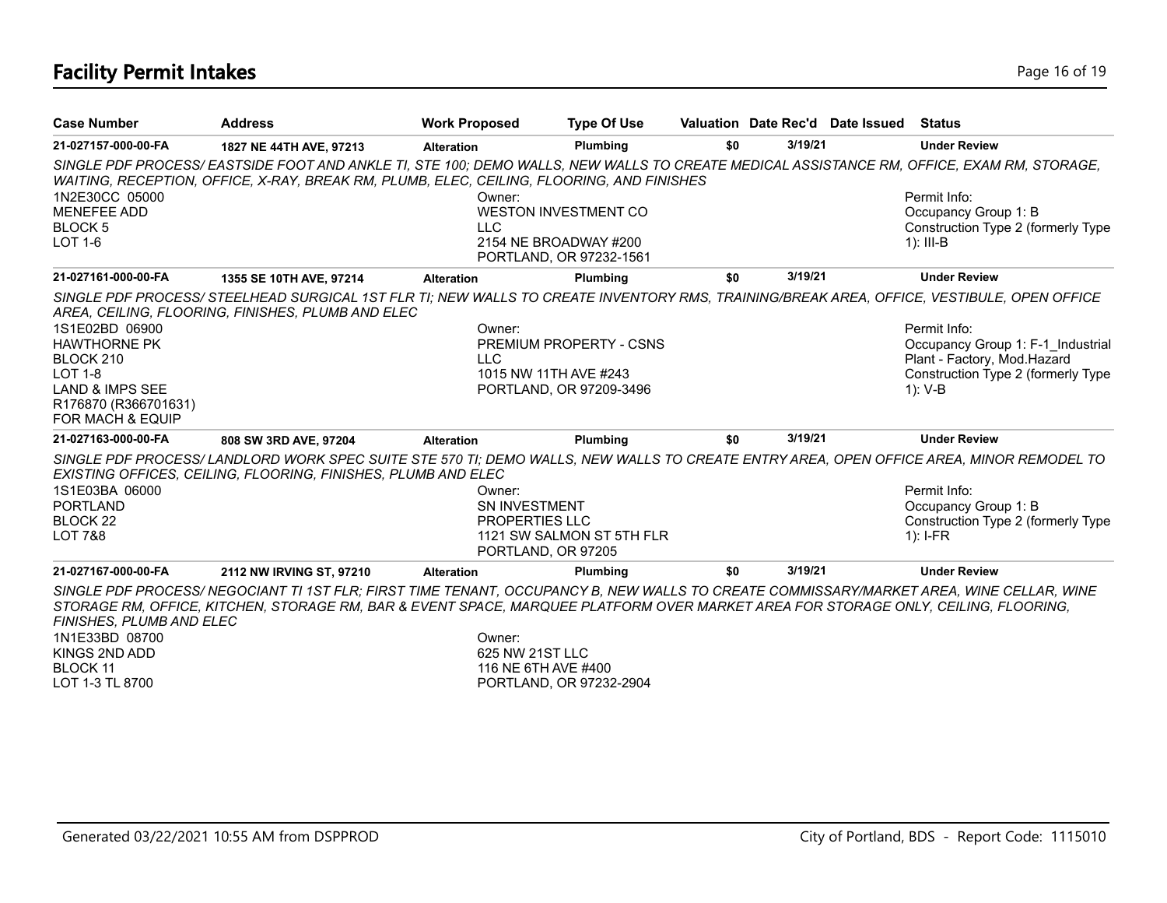# **Facility Permit Intakes** Page 16 of 19

| <b>Case Number</b>         | <b>Address</b>                                                                                                                                                                                                                                                               | <b>Work Proposed</b>  | <b>Type Of Use</b>             |     |         | Valuation Date Rec'd Date Issued Status |                                    |
|----------------------------|------------------------------------------------------------------------------------------------------------------------------------------------------------------------------------------------------------------------------------------------------------------------------|-----------------------|--------------------------------|-----|---------|-----------------------------------------|------------------------------------|
| 21-027157-000-00-FA        | 1827 NE 44TH AVE, 97213                                                                                                                                                                                                                                                      | <b>Alteration</b>     | Plumbing                       | \$0 | 3/19/21 |                                         | <b>Under Review</b>                |
|                            | SINGLE PDF PROCESS/EASTSIDE FOOT AND ANKLE TI, STE 100; DEMO WALLS, NEW WALLS TO CREATE MEDICAL ASSISTANCE RM, OFFICE, EXAM RM, STORAGE,<br>WAITING, RECEPTION, OFFICE, X-RAY, BREAK RM, PLUMB, ELEC, CEILING, FLOORING, AND FINISHES                                        |                       |                                |     |         |                                         |                                    |
| 1N2E30CC 05000             |                                                                                                                                                                                                                                                                              | Owner:                |                                |     |         |                                         | Permit Info:                       |
| <b>MENEFEE ADD</b>         |                                                                                                                                                                                                                                                                              |                       | <b>WESTON INVESTMENT CO</b>    |     |         |                                         | Occupancy Group 1: B               |
| <b>BLOCK5</b>              |                                                                                                                                                                                                                                                                              | <b>LLC</b>            |                                |     |         |                                         | Construction Type 2 (formerly Type |
| LOT 1-6                    |                                                                                                                                                                                                                                                                              | 2154 NE BROADWAY #200 |                                |     |         |                                         | $1$ : III-B                        |
|                            |                                                                                                                                                                                                                                                                              |                       | PORTLAND, OR 97232-1561        |     |         |                                         |                                    |
| 21-027161-000-00-FA        | 1355 SE 10TH AVE, 97214                                                                                                                                                                                                                                                      | <b>Alteration</b>     | Plumbing                       | \$0 | 3/19/21 |                                         | <b>Under Review</b>                |
|                            | SINGLE PDF PROCESS/ STEELHEAD SURGICAL 1ST FLR TI; NEW WALLS TO CREATE INVENTORY RMS, TRAINING/BREAK AREA, OFFICE, VESTIBULE, OPEN OFFICE                                                                                                                                    |                       |                                |     |         |                                         |                                    |
|                            | AREA, CEILING, FLOORING, FINISHES, PLUMB AND ELEC                                                                                                                                                                                                                            |                       |                                |     |         |                                         |                                    |
| 1S1E02BD 06900             |                                                                                                                                                                                                                                                                              | Owner:                |                                |     |         |                                         | Permit Info:                       |
| <b>HAWTHORNE PK</b>        |                                                                                                                                                                                                                                                                              |                       | <b>PREMIUM PROPERTY - CSNS</b> |     |         |                                         | Occupancy Group 1: F-1 Industrial  |
| BLOCK 210                  |                                                                                                                                                                                                                                                                              | <b>LLC</b>            |                                |     |         |                                         | Plant - Factory, Mod.Hazard        |
| <b>LOT 1-8</b>             |                                                                                                                                                                                                                                                                              | 1015 NW 11TH AVE #243 |                                |     |         |                                         | Construction Type 2 (formerly Type |
| <b>LAND &amp; IMPS SEE</b> |                                                                                                                                                                                                                                                                              |                       | PORTLAND, OR 97209-3496        |     |         |                                         | 1): V-B                            |
| R176870 (R366701631)       |                                                                                                                                                                                                                                                                              |                       |                                |     |         |                                         |                                    |
| FOR MACH & EQUIP           |                                                                                                                                                                                                                                                                              |                       |                                |     |         |                                         |                                    |
| 21-027163-000-00-FA        | 808 SW 3RD AVE, 97204                                                                                                                                                                                                                                                        | <b>Alteration</b>     | Plumbing                       | \$0 | 3/19/21 |                                         | <b>Under Review</b>                |
|                            | SINGLE PDF PROCESS/LANDLORD WORK SPEC SUITE STE 570 TI; DEMO WALLS, NEW WALLS TO CREATE ENTRY AREA, OPEN OFFICE AREA, MINOR REMODEL TO<br>EXISTING OFFICES, CEILING, FLOORING, FINISHES, PLUMB AND ELEC                                                                      |                       |                                |     |         |                                         |                                    |
| 1S1E03BA 06000             |                                                                                                                                                                                                                                                                              | Owner:                |                                |     |         |                                         | Permit Info:                       |
| <b>PORTLAND</b>            |                                                                                                                                                                                                                                                                              | SN INVESTMENT         |                                |     |         |                                         | Occupancy Group 1: B               |
| BLOCK <sub>22</sub>        |                                                                                                                                                                                                                                                                              | PROPERTIES LLC        |                                |     |         |                                         | Construction Type 2 (formerly Type |
| <b>LOT 7&amp;8</b>         |                                                                                                                                                                                                                                                                              |                       | 1121 SW SALMON ST 5TH FLR      |     |         |                                         | $1$ : I-FR                         |
|                            |                                                                                                                                                                                                                                                                              | PORTLAND, OR 97205    |                                |     |         |                                         |                                    |
| 21-027167-000-00-FA        | 2112 NW IRVING ST, 97210                                                                                                                                                                                                                                                     | <b>Alteration</b>     | Plumbing                       | \$0 | 3/19/21 |                                         | <b>Under Review</b>                |
| FINISHES, PLUMB AND ELEC   | SINGLE PDF PROCESS/NEGOCIANT TI 1ST FLR; FIRST TIME TENANT, OCCUPANCY B, NEW WALLS TO CREATE COMMISSARY/MARKET AREA, WINE CELLAR, WINE<br>STORAGE RM, OFFICE, KITCHEN, STORAGE RM, BAR & EVENT SPACE, MARQUEE PLATFORM OVER MARKET AREA FOR STORAGE ONLY, CEILING, FLOORING, |                       |                                |     |         |                                         |                                    |
| 1N1E33BD 08700             |                                                                                                                                                                                                                                                                              | Owner:                |                                |     |         |                                         |                                    |
| KINGS 2ND ADD              |                                                                                                                                                                                                                                                                              | 625 NW 21ST LLC       |                                |     |         |                                         |                                    |
| <b>BLOCK 11</b>            |                                                                                                                                                                                                                                                                              | 116 NE 6TH AVE #400   |                                |     |         |                                         |                                    |
| LOT 1-3 TL 8700            |                                                                                                                                                                                                                                                                              |                       | PORTLAND, OR 97232-2904        |     |         |                                         |                                    |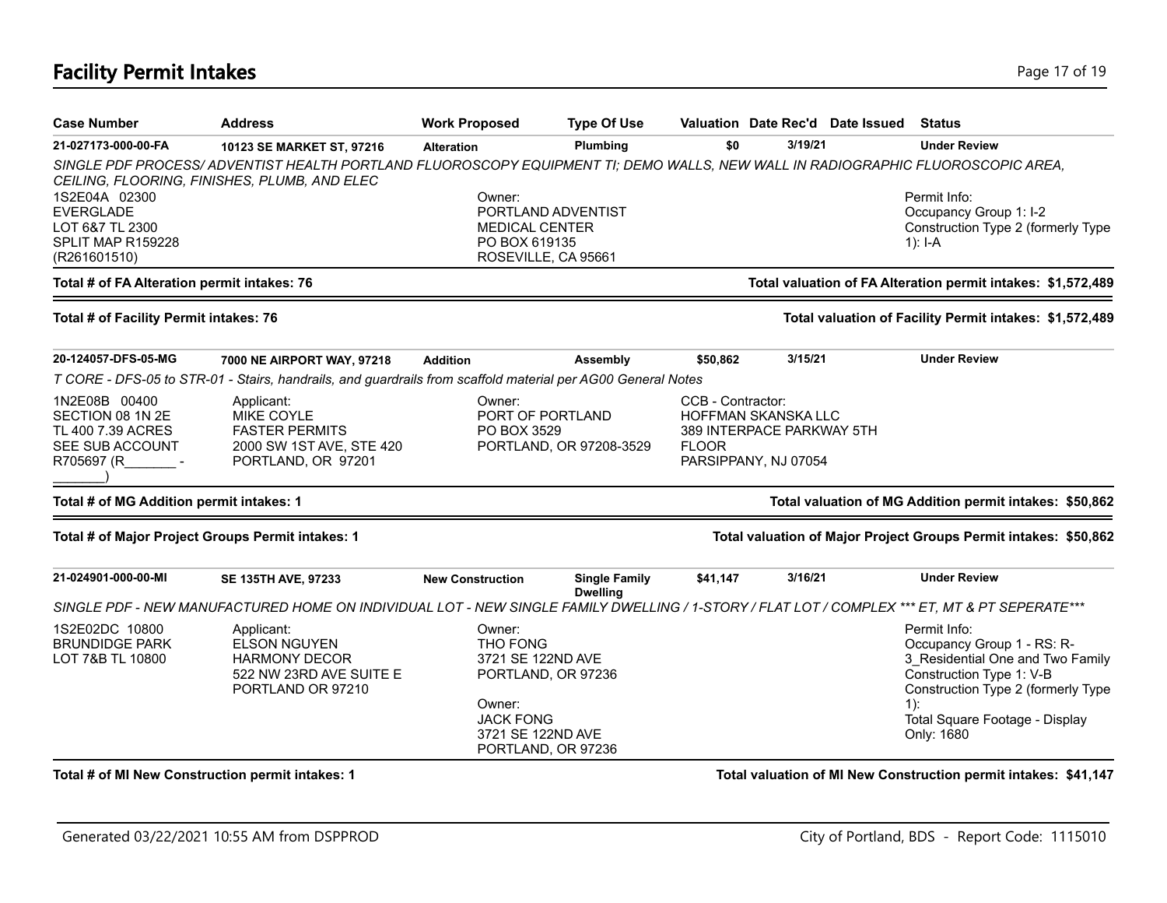# **Facility Permit Intakes** Page 17 of 19

| <b>Case Number</b>                                                                      | <b>Address</b>                                                                                                                                                                 | <b>Work Proposed</b>                                                 | <b>Type Of Use</b>                                                                                     |                                                                                                               |             | Valuation Date Rec'd Date Issued                                             | <b>Status</b>                                                                                                                                                                                             |
|-----------------------------------------------------------------------------------------|--------------------------------------------------------------------------------------------------------------------------------------------------------------------------------|----------------------------------------------------------------------|--------------------------------------------------------------------------------------------------------|---------------------------------------------------------------------------------------------------------------|-------------|------------------------------------------------------------------------------|-----------------------------------------------------------------------------------------------------------------------------------------------------------------------------------------------------------|
| 21-027173-000-00-FA                                                                     | 10123 SE MARKET ST, 97216                                                                                                                                                      | <b>Alteration</b>                                                    | Plumbing                                                                                               | \$0                                                                                                           | 3/19/21     |                                                                              | <b>Under Review</b>                                                                                                                                                                                       |
|                                                                                         | SINGLE PDF PROCESS/ADVENTIST HEALTH PORTLAND FLUOROSCOPY EQUIPMENT TI; DEMO WALLS, NEW WALL IN RADIOGRAPHIC FLUOROSCOPIC AREA,<br>CEILING, FLOORING, FINISHES, PLUMB, AND ELEC |                                                                      |                                                                                                        |                                                                                                               |             |                                                                              |                                                                                                                                                                                                           |
| 1S2E04A 02300<br><b>EVERGLADE</b><br>LOT 6&7 TL 2300                                    | Owner:<br><b>MEDICAL CENTER</b>                                                                                                                                                | PORTLAND ADVENTIST                                                   |                                                                                                        |                                                                                                               |             | Permit Info:<br>Occupancy Group 1: I-2<br>Construction Type 2 (formerly Type |                                                                                                                                                                                                           |
| SPLIT MAP R159228<br>(R261601510)                                                       |                                                                                                                                                                                | PO BOX 619135<br>ROSEVILLE, CA 95661                                 |                                                                                                        |                                                                                                               | 1): $I - A$ |                                                                              |                                                                                                                                                                                                           |
| Total # of FA Alteration permit intakes: 76                                             |                                                                                                                                                                                |                                                                      |                                                                                                        |                                                                                                               |             |                                                                              | Total valuation of FA Alteration permit intakes: \$1,572,489                                                                                                                                              |
| Total # of Facility Permit intakes: 76                                                  |                                                                                                                                                                                |                                                                      |                                                                                                        |                                                                                                               |             |                                                                              | Total valuation of Facility Permit intakes: \$1,572,489                                                                                                                                                   |
| 20-124057-DFS-05-MG                                                                     | 7000 NE AIRPORT WAY, 97218                                                                                                                                                     | <b>Addition</b>                                                      | <b>Assembly</b>                                                                                        | \$50,862                                                                                                      | 3/15/21     |                                                                              | <b>Under Review</b>                                                                                                                                                                                       |
|                                                                                         | T CORE - DFS-05 to STR-01 - Stairs, handrails, and guardrails from scaffold material per AG00 General Notes                                                                    |                                                                      |                                                                                                        |                                                                                                               |             |                                                                              |                                                                                                                                                                                                           |
| 1N2E08B 00400<br>SECTION 08 1N 2E<br>TL 400 7.39 ACRES<br>SEE SUB ACCOUNT<br>R705697 (R | Applicant:<br><b>MIKE COYLE</b><br><b>FASTER PERMITS</b><br>2000 SW 1ST AVE, STE 420<br>PORTLAND, OR 97201                                                                     | Owner:<br>PORT OF PORTLAND<br>PO BOX 3529<br>PORTLAND, OR 97208-3529 |                                                                                                        | CCB - Contractor:<br>HOFFMAN SKANSKA LLC<br>389 INTERPACE PARKWAY 5TH<br><b>FLOOR</b><br>PARSIPPANY, NJ 07054 |             |                                                                              |                                                                                                                                                                                                           |
| Total # of MG Addition permit intakes: 1                                                |                                                                                                                                                                                |                                                                      |                                                                                                        |                                                                                                               |             |                                                                              | Total valuation of MG Addition permit intakes: \$50,862                                                                                                                                                   |
|                                                                                         | Total # of Major Project Groups Permit intakes: 1                                                                                                                              |                                                                      |                                                                                                        |                                                                                                               |             |                                                                              | Total valuation of Major Project Groups Permit intakes: \$50,862                                                                                                                                          |
| 21-024901-000-00-MI                                                                     | <b>SE 135TH AVE, 97233</b>                                                                                                                                                     | <b>New Construction</b>                                              | <b>Single Family</b><br><b>Dwelling</b>                                                                | \$41,147                                                                                                      | 3/16/21     |                                                                              | <b>Under Review</b>                                                                                                                                                                                       |
|                                                                                         | SINGLE PDF - NEW MANUFACTURED HOME ON INDIVIDUAL LOT - NEW SINGLE FAMILY DWELLING / 1-STORY / FLAT LOT / COMPLEX *** ET, MT & PT SEPERATE***                                   |                                                                      |                                                                                                        |                                                                                                               |             |                                                                              |                                                                                                                                                                                                           |
| 1S2E02DC 10800<br><b>BRUNDIDGE PARK</b><br>LOT 7&B TL 10800                             | Applicant:<br><b>ELSON NGUYEN</b><br><b>HARMONY DECOR</b><br>522 NW 23RD AVE SUITE E<br>PORTLAND OR 97210                                                                      | Owner:<br><b>THO FONG</b><br>Owner:                                  | 3721 SE 122ND AVE<br>PORTLAND, OR 97236<br><b>JACK FONG</b><br>3721 SE 122ND AVE<br>PORTLAND, OR 97236 |                                                                                                               |             |                                                                              | Permit Info:<br>Occupancy Group 1 - RS: R-<br>3 Residential One and Two Family<br>Construction Type 1: V-B<br>Construction Type 2 (formerly Type<br>$1$ :<br>Total Square Footage - Display<br>Only: 1680 |
|                                                                                         | Total # of MI New Construction permit intakes: 1                                                                                                                               |                                                                      |                                                                                                        |                                                                                                               |             |                                                                              | Total valuation of MI New Construction permit intakes: \$41,147                                                                                                                                           |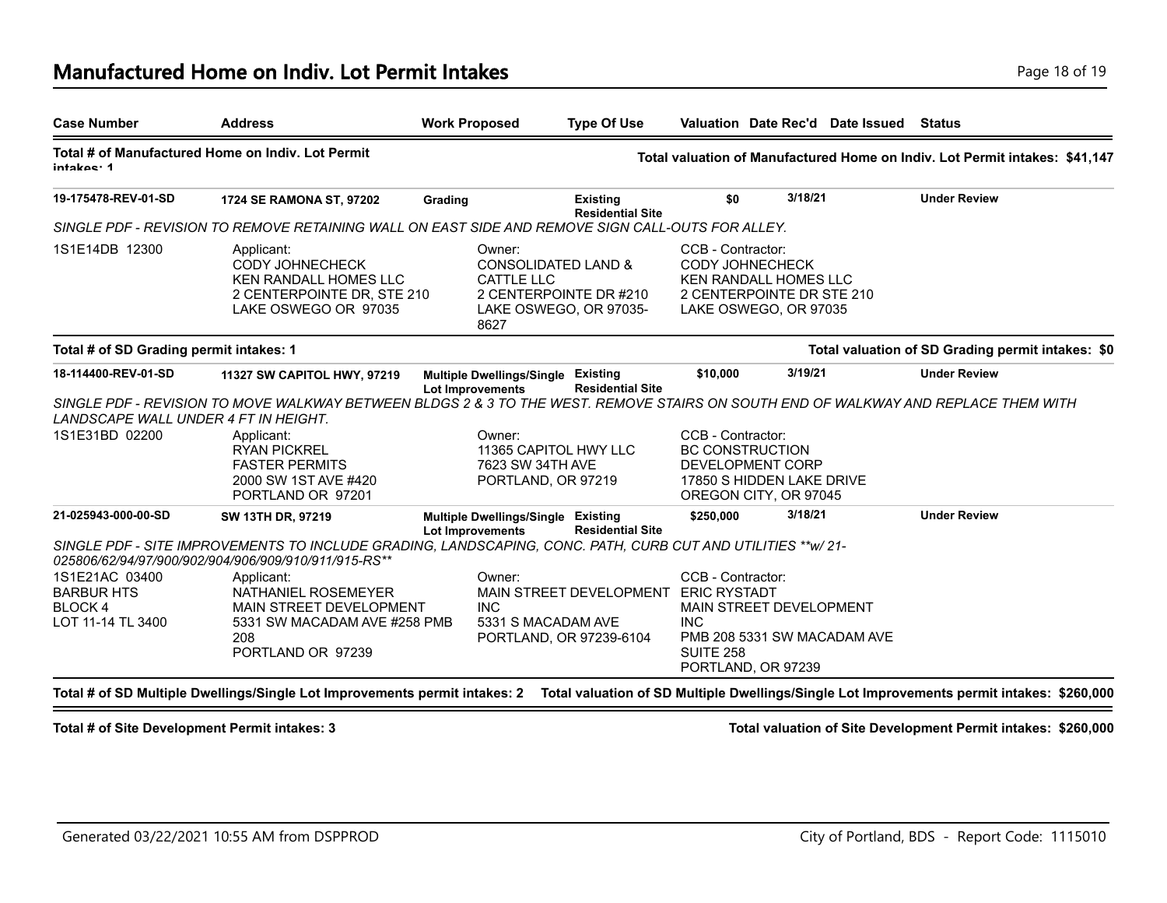| <b>Case Number</b>                                                  | <b>Address</b>                                                                                                                                                                            | <b>Work Proposed</b>                                          |                                        | <b>Type Of Use</b>                                                      |                                                                                                                       | Valuation Date Rec'd Date Issued                       | Status                                                                      |
|---------------------------------------------------------------------|-------------------------------------------------------------------------------------------------------------------------------------------------------------------------------------------|---------------------------------------------------------------|----------------------------------------|-------------------------------------------------------------------------|-----------------------------------------------------------------------------------------------------------------------|--------------------------------------------------------|-----------------------------------------------------------------------------|
| intakos: 1                                                          | Total # of Manufactured Home on Indiv. Lot Permit                                                                                                                                         |                                                               |                                        |                                                                         |                                                                                                                       |                                                        | Total valuation of Manufactured Home on Indiv. Lot Permit intakes: \$41,147 |
| 19-175478-REV-01-SD                                                 | 1724 SE RAMONA ST, 97202                                                                                                                                                                  | Grading                                                       |                                        | <b>Existing</b><br><b>Residential Site</b>                              | \$0                                                                                                                   | 3/18/21                                                | <b>Under Review</b>                                                         |
|                                                                     | SINGLE PDF - REVISION TO REMOVE RETAINING WALL ON EAST SIDE AND REMOVE SIGN CALL-OUTS FOR ALLEY.                                                                                          |                                                               |                                        |                                                                         |                                                                                                                       |                                                        |                                                                             |
| 1S1E14DB 12300                                                      | Applicant:<br><b>CODY JOHNECHECK</b><br><b>KEN RANDALL HOMES LLC</b><br>2 CENTERPOINTE DR, STE 210<br>LAKE OSWEGO OR 97035                                                                | Owner:<br><b>CATTLE LLC</b><br>8627                           |                                        | CONSOLIDATED LAND &<br>2 CENTERPOINTE DR #210<br>LAKE OSWEGO, OR 97035- | CCB - Contractor:<br><b>CODY JOHNECHECK</b><br><b>KEN RANDALL HOMES LLC</b><br>LAKE OSWEGO, OR 97035                  | 2 CENTERPOINTE DR STE 210                              |                                                                             |
| Total # of SD Grading permit intakes: 1                             |                                                                                                                                                                                           |                                                               |                                        |                                                                         |                                                                                                                       |                                                        | Total valuation of SD Grading permit intakes: \$0                           |
| 18-114400-REV-01-SD                                                 | 11327 SW CAPITOL HWY, 97219                                                                                                                                                               | Multiple Dwellings/Single Existing<br><b>Lot Improvements</b> |                                        | <b>Residential Site</b>                                                 | \$10,000                                                                                                              | 3/19/21                                                | <b>Under Review</b>                                                         |
| LANDSCAPE WALL UNDER 4 FT IN HEIGHT.                                | SINGLE PDF - REVISION TO MOVE WALKWAY BETWEEN BLDGS 2 & 3 TO THE WEST. REMOVE STAIRS ON SOUTH END OF WALKWAY AND REPLACE THEM WITH                                                        |                                                               |                                        |                                                                         |                                                                                                                       |                                                        |                                                                             |
| 1S1E31BD 02200                                                      | Applicant:<br><b>RYAN PICKREL</b><br><b>FASTER PERMITS</b><br>2000 SW 1ST AVE #420<br>PORTLAND OR 97201                                                                                   | Owner:                                                        | 7623 SW 34TH AVE<br>PORTLAND, OR 97219 | 11365 CAPITOL HWY LLC                                                   | CCB - Contractor:<br><b>BC CONSTRUCTION</b><br>DEVELOPMENT CORP<br>17850 S HIDDEN LAKE DRIVE<br>OREGON CITY, OR 97045 |                                                        |                                                                             |
| 21-025943-000-00-SD                                                 | SW 13TH DR, 97219<br>SINGLE PDF - SITE IMPROVEMENTS TO INCLUDE GRADING, LANDSCAPING, CONC. PATH, CURB CUT AND UTILITIES ** w/ 21-<br>025806/62/94/97/900/902/904/906/909/910/911/915-RS** | Multiple Dwellings/Single Existing<br><b>Lot Improvements</b> |                                        | <b>Residential Site</b>                                                 | \$250,000                                                                                                             | 3/18/21                                                | <b>Under Review</b>                                                         |
| 1S1E21AC 03400<br><b>BARBUR HTS</b><br>BLOCK 4<br>LOT 11-14 TL 3400 | Applicant:<br>NATHANIEL ROSEMEYER<br>MAIN STREET DEVELOPMENT<br>5331 SW MACADAM AVE #258 PMB<br>208<br>PORTLAND OR 97239                                                                  | Owner:<br><b>INC</b>                                          | 5331 S MACADAM AVE                     | MAIN STREET DEVELOPMENT<br>PORTLAND, OR 97239-6104                      | CCB - Contractor:<br><b>ERIC RYSTADT</b><br><b>INC</b><br><b>SUITE 258</b><br>PORTLAND, OR 97239                      | MAIN STREET DEVELOPMENT<br>PMB 208 5331 SW MACADAM AVE |                                                                             |

**Total # of SD Multiple Dwellings/Single Lot Improvements permit intakes: 2 Total valuation of SD Multiple Dwellings/Single Lot Improvements permit intakes: \$260,000**

**Total # of Site Development Permit intakes: 3 Total valuation of Site Development Permit intakes: \$260,000**